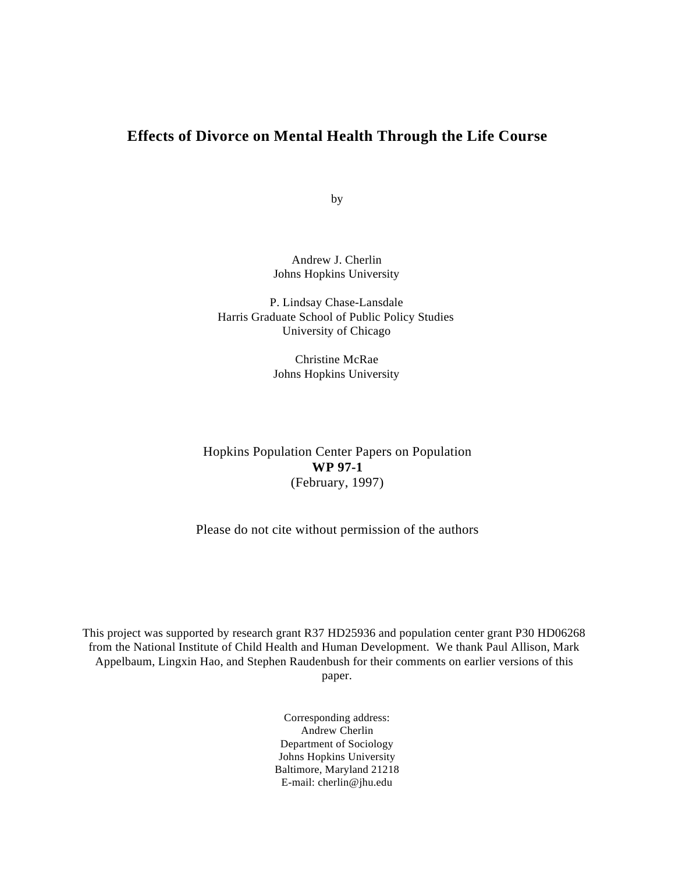### **Effects of Divorce on Mental Health Through the Life Course**

by

Andrew J. Cherlin Johns Hopkins University

P. Lindsay Chase-Lansdale Harris Graduate School of Public Policy Studies University of Chicago

> Christine McRae Johns Hopkins University

Hopkins Population Center Papers on Population **WP 97-1** (February, 1997)

Please do not cite without permission of the authors

This project was supported by research grant R37 HD25936 and population center grant P30 HD06268 from the National Institute of Child Health and Human Development. We thank Paul Allison, Mark Appelbaum, Lingxin Hao, and Stephen Raudenbush for their comments on earlier versions of this paper.

> Corresponding address: Andrew Cherlin Department of Sociology Johns Hopkins University Baltimore, Maryland 21218 E-mail: cherlin@jhu.edu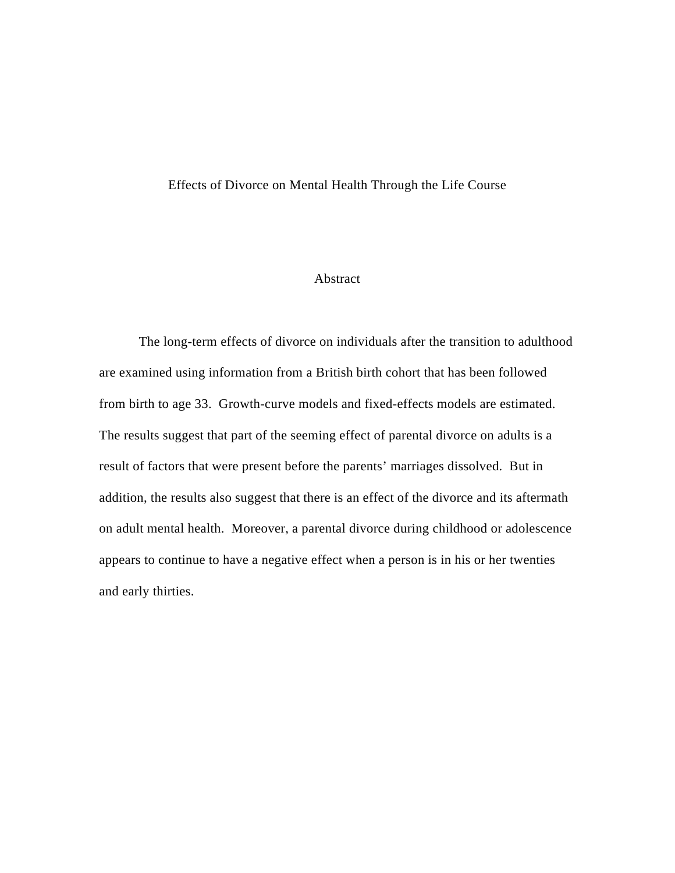#### Effects of Divorce on Mental Health Through the Life Course

#### Abstract

The long-term effects of divorce on individuals after the transition to adulthood are examined using information from a British birth cohort that has been followed from birth to age 33. Growth-curve models and fixed-effects models are estimated. The results suggest that part of the seeming effect of parental divorce on adults is a result of factors that were present before the parents' marriages dissolved. But in addition, the results also suggest that there is an effect of the divorce and its aftermath on adult mental health. Moreover, a parental divorce during childhood or adolescence appears to continue to have a negative effect when a person is in his or her twenties and early thirties.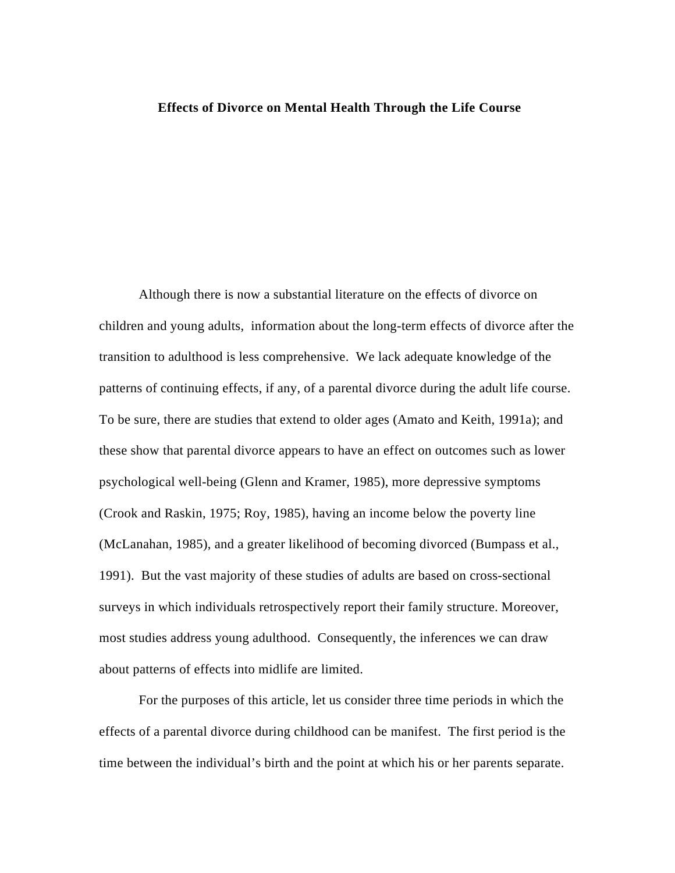#### **Effects of Divorce on Mental Health Through the Life Course**

Although there is now a substantial literature on the effects of divorce on children and young adults, information about the long-term effects of divorce after the transition to adulthood is less comprehensive. We lack adequate knowledge of the patterns of continuing effects, if any, of a parental divorce during the adult life course. To be sure, there are studies that extend to older ages (Amato and Keith, 1991a); and these show that parental divorce appears to have an effect on outcomes such as lower psychological well-being (Glenn and Kramer, 1985), more depressive symptoms (Crook and Raskin, 1975; Roy, 1985), having an income below the poverty line (McLanahan, 1985), and a greater likelihood of becoming divorced (Bumpass et al., 1991). But the vast majority of these studies of adults are based on cross-sectional surveys in which individuals retrospectively report their family structure. Moreover, most studies address young adulthood. Consequently, the inferences we can draw about patterns of effects into midlife are limited.

For the purposes of this article, let us consider three time periods in which the effects of a parental divorce during childhood can be manifest. The first period is the time between the individual's birth and the point at which his or her parents separate.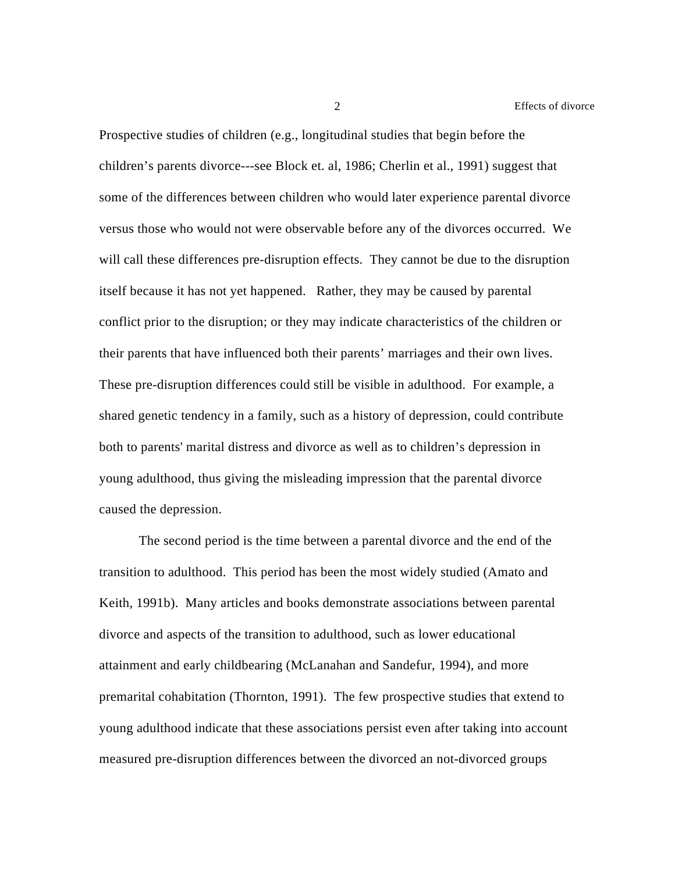Prospective studies of children (e.g., longitudinal studies that begin before the children's parents divorce---see Block et. al, 1986; Cherlin et al., 1991) suggest that some of the differences between children who would later experience parental divorce versus those who would not were observable before any of the divorces occurred. We will call these differences pre-disruption effects. They cannot be due to the disruption itself because it has not yet happened. Rather, they may be caused by parental conflict prior to the disruption; or they may indicate characteristics of the children or their parents that have influenced both their parents' marriages and their own lives. These pre-disruption differences could still be visible in adulthood. For example, a shared genetic tendency in a family, such as a history of depression, could contribute both to parents' marital distress and divorce as well as to children's depression in young adulthood, thus giving the misleading impression that the parental divorce caused the depression.

The second period is the time between a parental divorce and the end of the transition to adulthood. This period has been the most widely studied (Amato and Keith, 1991b). Many articles and books demonstrate associations between parental divorce and aspects of the transition to adulthood, such as lower educational attainment and early childbearing (McLanahan and Sandefur, 1994), and more premarital cohabitation (Thornton, 1991). The few prospective studies that extend to young adulthood indicate that these associations persist even after taking into account measured pre-disruption differences between the divorced an not-divorced groups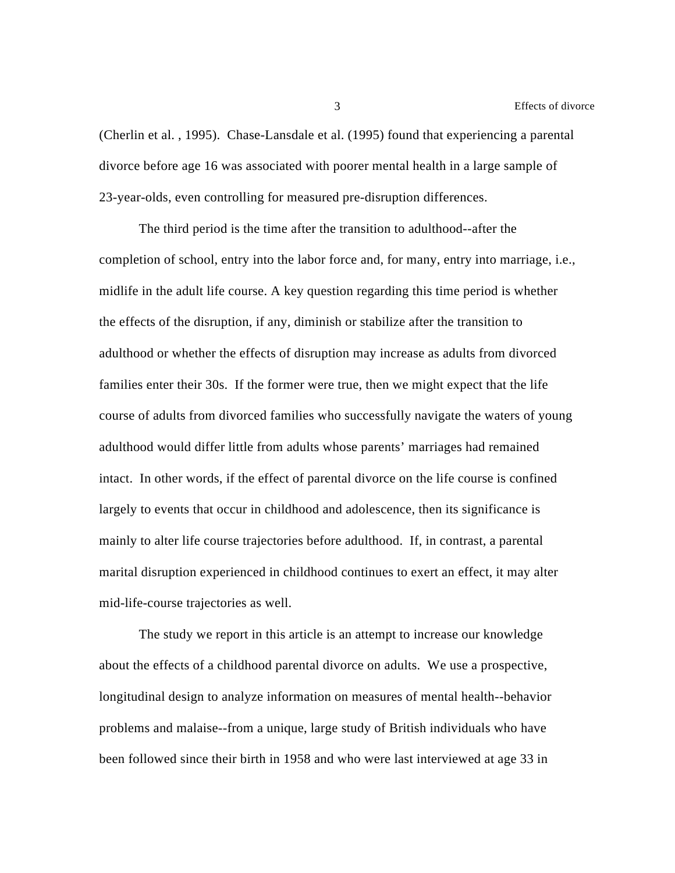(Cherlin et al. , 1995). Chase-Lansdale et al. (1995) found that experiencing a parental divorce before age 16 was associated with poorer mental health in a large sample of 23-year-olds, even controlling for measured pre-disruption differences.

The third period is the time after the transition to adulthood--after the completion of school, entry into the labor force and, for many, entry into marriage, i.e., midlife in the adult life course. A key question regarding this time period is whether the effects of the disruption, if any, diminish or stabilize after the transition to adulthood or whether the effects of disruption may increase as adults from divorced families enter their 30s. If the former were true, then we might expect that the life course of adults from divorced families who successfully navigate the waters of young adulthood would differ little from adults whose parents' marriages had remained intact. In other words, if the effect of parental divorce on the life course is confined largely to events that occur in childhood and adolescence, then its significance is mainly to alter life course trajectories before adulthood. If, in contrast, a parental marital disruption experienced in childhood continues to exert an effect, it may alter mid-life-course trajectories as well.

The study we report in this article is an attempt to increase our knowledge about the effects of a childhood parental divorce on adults. We use a prospective, longitudinal design to analyze information on measures of mental health--behavior problems and malaise--from a unique, large study of British individuals who have been followed since their birth in 1958 and who were last interviewed at age 33 in

3 Effects of divorce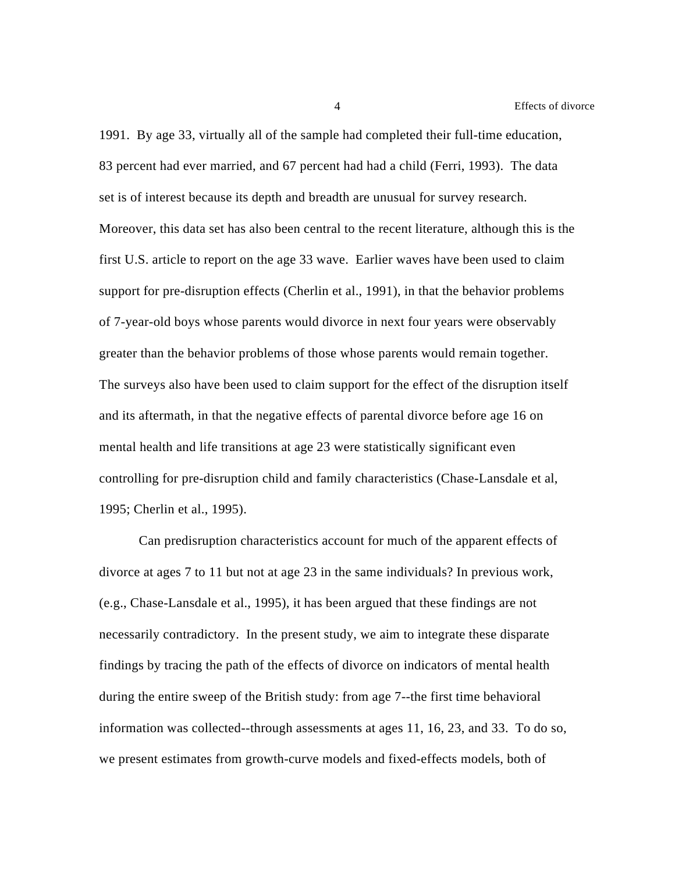4 Effects of divorce

1991. By age 33, virtually all of the sample had completed their full-time education, 83 percent had ever married, and 67 percent had had a child (Ferri, 1993). The data set is of interest because its depth and breadth are unusual for survey research. Moreover, this data set has also been central to the recent literature, although this is the first U.S. article to report on the age 33 wave. Earlier waves have been used to claim support for pre-disruption effects (Cherlin et al., 1991), in that the behavior problems of 7-year-old boys whose parents would divorce in next four years were observably greater than the behavior problems of those whose parents would remain together. The surveys also have been used to claim support for the effect of the disruption itself and its aftermath, in that the negative effects of parental divorce before age 16 on mental health and life transitions at age 23 were statistically significant even controlling for pre-disruption child and family characteristics (Chase-Lansdale et al, 1995; Cherlin et al., 1995).

Can predisruption characteristics account for much of the apparent effects of divorce at ages 7 to 11 but not at age 23 in the same individuals? In previous work, (e.g., Chase-Lansdale et al., 1995), it has been argued that these findings are not necessarily contradictory. In the present study, we aim to integrate these disparate findings by tracing the path of the effects of divorce on indicators of mental health during the entire sweep of the British study: from age 7--the first time behavioral information was collected--through assessments at ages 11, 16, 23, and 33. To do so, we present estimates from growth-curve models and fixed-effects models, both of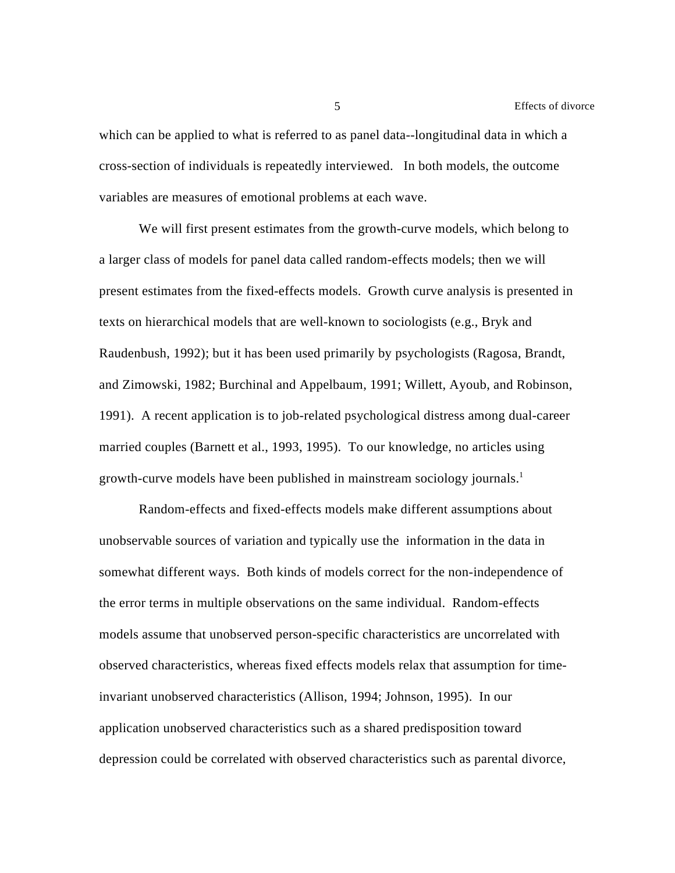5 Effects of divorce

which can be applied to what is referred to as panel data--longitudinal data in which a cross-section of individuals is repeatedly interviewed. In both models, the outcome variables are measures of emotional problems at each wave.

We will first present estimates from the growth-curve models, which belong to a larger class of models for panel data called random-effects models; then we will present estimates from the fixed-effects models. Growth curve analysis is presented in texts on hierarchical models that are well-known to sociologists (e.g., Bryk and Raudenbush, 1992); but it has been used primarily by psychologists (Ragosa, Brandt, and Zimowski, 1982; Burchinal and Appelbaum, 1991; Willett, Ayoub, and Robinson, 1991). A recent application is to job-related psychological distress among dual-career married couples (Barnett et al., 1993, 1995). To our knowledge, no articles using growth-curve models have been published in mainstream sociology journals. 1

Random-effects and fixed-effects models make different assumptions about unobservable sources of variation and typically use the information in the data in somewhat different ways. Both kinds of models correct for the non-independence of the error terms in multiple observations on the same individual. Random-effects models assume that unobserved person-specific characteristics are uncorrelated with observed characteristics, whereas fixed effects models relax that assumption for timeinvariant unobserved characteristics (Allison, 1994; Johnson, 1995). In our application unobserved characteristics such as a shared predisposition toward depression could be correlated with observed characteristics such as parental divorce,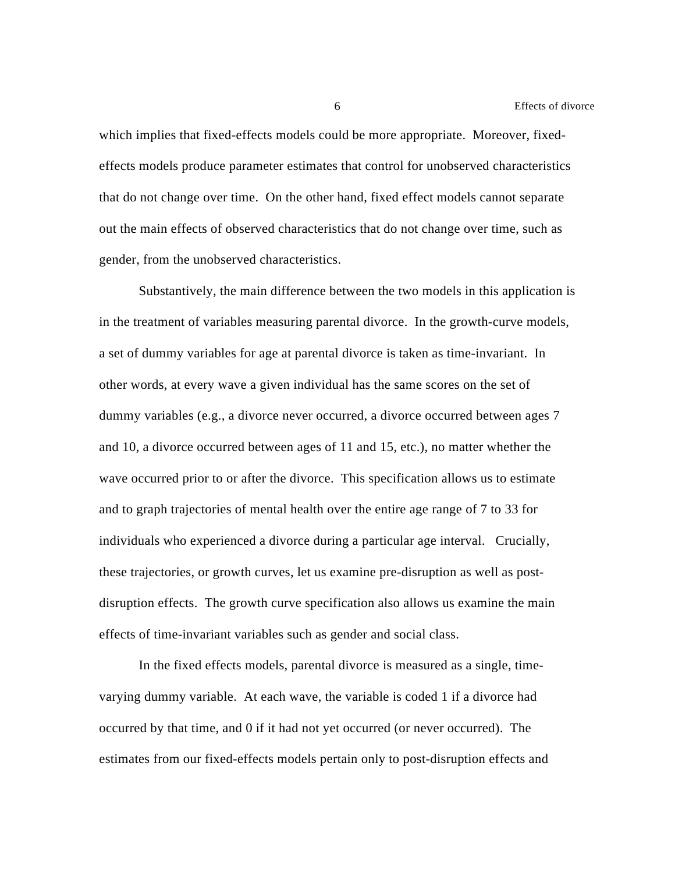which implies that fixed-effects models could be more appropriate. Moreover, fixedeffects models produce parameter estimates that control for unobserved characteristics that do not change over time. On the other hand, fixed effect models cannot separate out the main effects of observed characteristics that do not change over time, such as gender, from the unobserved characteristics.

Substantively, the main difference between the two models in this application is in the treatment of variables measuring parental divorce. In the growth-curve models, a set of dummy variables for age at parental divorce is taken as time-invariant. In other words, at every wave a given individual has the same scores on the set of dummy variables (e.g., a divorce never occurred, a divorce occurred between ages 7 and 10, a divorce occurred between ages of 11 and 15, etc.), no matter whether the wave occurred prior to or after the divorce. This specification allows us to estimate and to graph trajectories of mental health over the entire age range of 7 to 33 for individuals who experienced a divorce during a particular age interval. Crucially, these trajectories, or growth curves, let us examine pre-disruption as well as postdisruption effects. The growth curve specification also allows us examine the main effects of time-invariant variables such as gender and social class.

In the fixed effects models, parental divorce is measured as a single, timevarying dummy variable. At each wave, the variable is coded 1 if a divorce had occurred by that time, and 0 if it had not yet occurred (or never occurred). The estimates from our fixed-effects models pertain only to post-disruption effects and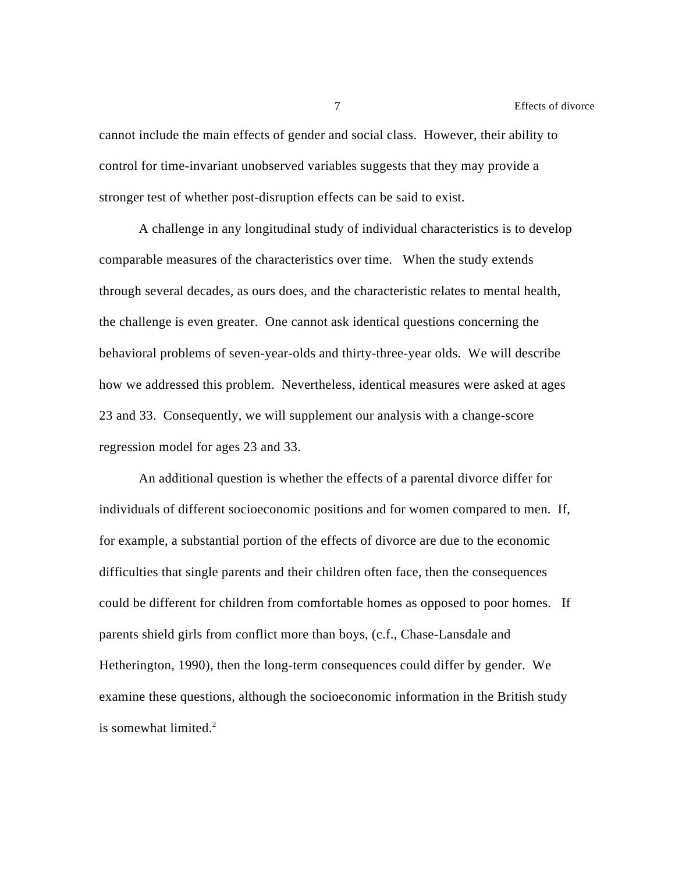cannot include the main effects of gender and social class. However, their ability to control for time-invariant unobserved variables suggests that they may provide a stronger test of whether post-disruption effects can be said to exist.

A challenge in any longitudinal study of individual characteristics is to develop comparable measures of the characteristics over time. When the study extends through several decades, as ours does, and the characteristic relates to mental health, the challenge is even greater. One cannot ask identical questions concerning the behavioral problems of seven-year-olds and thirty-three-year olds. We will describe how we addressed this problem. Nevertheless, identical measures were asked at ages 23 and 33. Consequently, we will supplement our analysis with a change-score regression model for ages 23 and 33.

An additional question is whether the effects of a parental divorce differ for individuals of different socioeconomic positions and for women compared to men. If, for example, a substantial portion of the effects of divorce are due to the economic difficulties that single parents and their children often face, then the consequences could be different for children from comfortable homes as opposed to poor homes. If parents shield girls from conflict more than boys, (c.f., Chase-Lansdale and Hetherington, 1990), then the long-term consequences could differ by gender. We examine these questions, although the socioeconomic information in the British study is somewhat limited. $2$ 

7 Effects of divorce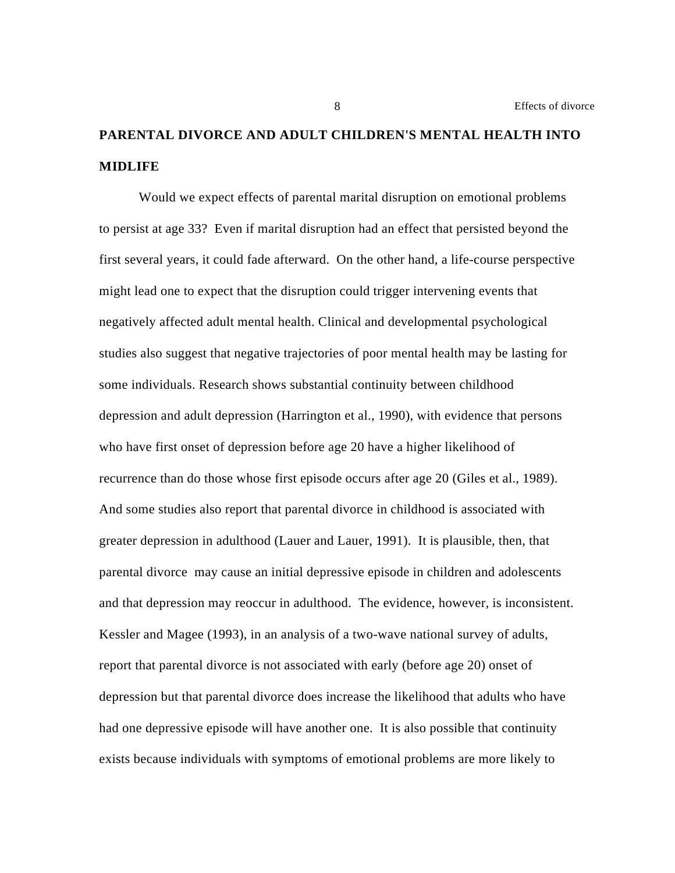## **PARENTAL DIVORCE AND ADULT CHILDREN'S MENTAL HEALTH INTO MIDLIFE**

Would we expect effects of parental marital disruption on emotional problems to persist at age 33? Even if marital disruption had an effect that persisted beyond the first several years, it could fade afterward. On the other hand, a life-course perspective might lead one to expect that the disruption could trigger intervening events that negatively affected adult mental health. Clinical and developmental psychological studies also suggest that negative trajectories of poor mental health may be lasting for some individuals. Research shows substantial continuity between childhood depression and adult depression (Harrington et al., 1990), with evidence that persons who have first onset of depression before age 20 have a higher likelihood of recurrence than do those whose first episode occurs after age 20 (Giles et al., 1989). And some studies also report that parental divorce in childhood is associated with greater depression in adulthood (Lauer and Lauer, 1991). It is plausible, then, that parental divorce may cause an initial depressive episode in children and adolescents and that depression may reoccur in adulthood. The evidence, however, is inconsistent. Kessler and Magee (1993), in an analysis of a two-wave national survey of adults, report that parental divorce is not associated with early (before age 20) onset of depression but that parental divorce does increase the likelihood that adults who have had one depressive episode will have another one. It is also possible that continuity exists because individuals with symptoms of emotional problems are more likely to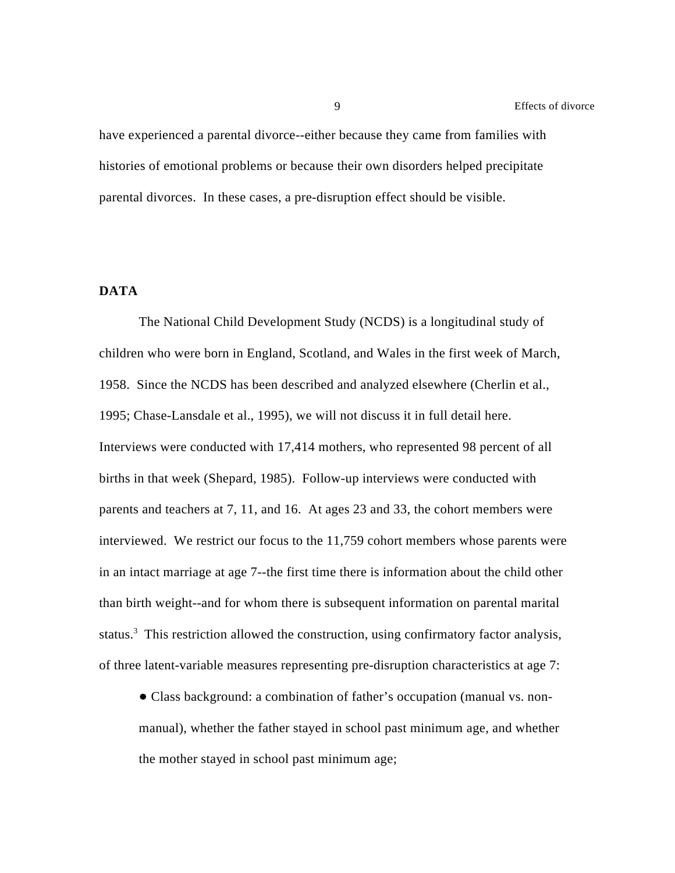have experienced a parental divorce--either because they came from families with histories of emotional problems or because their own disorders helped precipitate parental divorces. In these cases, a pre-disruption effect should be visible.

#### **DATA**

The National Child Development Study (NCDS) is a longitudinal study of children who were born in England, Scotland, and Wales in the first week of March, 1958. Since the NCDS has been described and analyzed elsewhere (Cherlin et al., 1995; Chase-Lansdale et al., 1995), we will not discuss it in full detail here. Interviews were conducted with 17,414 mothers, who represented 98 percent of all births in that week (Shepard, 1985). Follow-up interviews were conducted with parents and teachers at 7, 11, and 16. At ages 23 and 33, the cohort members were interviewed. We restrict our focus to the 11,759 cohort members whose parents were in an intact marriage at age 7--the first time there is information about the child other than birth weight--and for whom there is subsequent information on parental marital status.<sup>3</sup> This restriction allowed the construction, using confirmatory factor analysis, of three latent-variable measures representing pre-disruption characteristics at age 7:

 Class background: a combination of father's occupation (manual vs. nonmanual), whether the father stayed in school past minimum age, and whether the mother stayed in school past minimum age;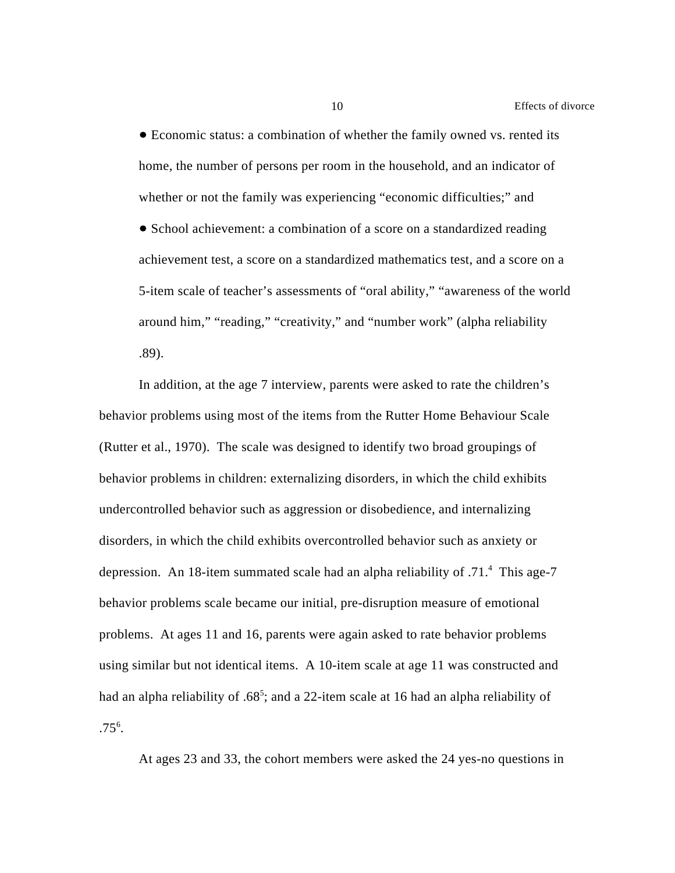Economic status: a combination of whether the family owned vs. rented its home, the number of persons per room in the household, and an indicator of whether or not the family was experiencing "economic difficulties;" and • School achievement: a combination of a score on a standardized reading achievement test, a score on a standardized mathematics test, and a score on a 5-item scale of teacher's assessments of "oral ability," "awareness of the world around him," "reading," "creativity," and "number work" (alpha reliability .89).

In addition, at the age 7 interview, parents were asked to rate the children's behavior problems using most of the items from the Rutter Home Behaviour Scale (Rutter et al., 1970). The scale was designed to identify two broad groupings of behavior problems in children: externalizing disorders, in which the child exhibits undercontrolled behavior such as aggression or disobedience, and internalizing disorders, in which the child exhibits overcontrolled behavior such as anxiety or depression. An 18-item summated scale had an alpha reliability of .71.<sup>4</sup> This age-7 behavior problems scale became our initial, pre-disruption measure of emotional problems. At ages 11 and 16, parents were again asked to rate behavior problems using similar but not identical items. A 10-item scale at age 11 was constructed and had an alpha reliability of .68<sup>5</sup>; and a 22-item scale at 16 had an alpha reliability of  $.75^6$ .

At ages 23 and 33, the cohort members were asked the 24 yes-no questions in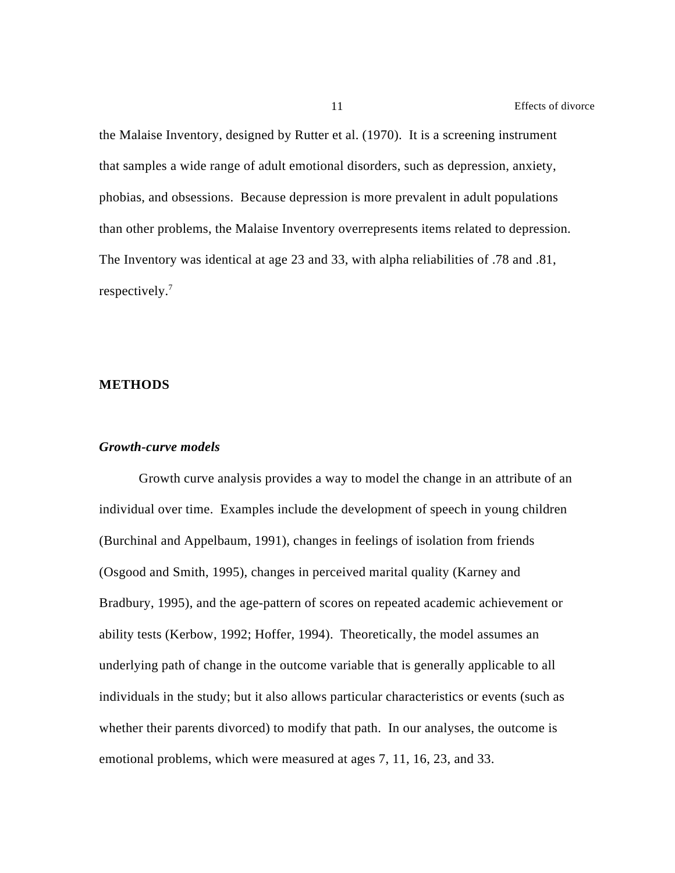the Malaise Inventory, designed by Rutter et al. (1970). It is a screening instrument that samples a wide range of adult emotional disorders, such as depression, anxiety, phobias, and obsessions. Because depression is more prevalent in adult populations than other problems, the Malaise Inventory overrepresents items related to depression. The Inventory was identical at age 23 and 33, with alpha reliabilities of .78 and .81, respectively.<sup>7</sup>

#### **METHODS**

#### *Growth-curve models*

Growth curve analysis provides a way to model the change in an attribute of an individual over time. Examples include the development of speech in young children (Burchinal and Appelbaum, 1991), changes in feelings of isolation from friends (Osgood and Smith, 1995), changes in perceived marital quality (Karney and Bradbury, 1995), and the age-pattern of scores on repeated academic achievement or ability tests (Kerbow, 1992; Hoffer, 1994). Theoretically, the model assumes an underlying path of change in the outcome variable that is generally applicable to all individuals in the study; but it also allows particular characteristics or events (such as whether their parents divorced) to modify that path. In our analyses, the outcome is emotional problems, which were measured at ages 7, 11, 16, 23, and 33.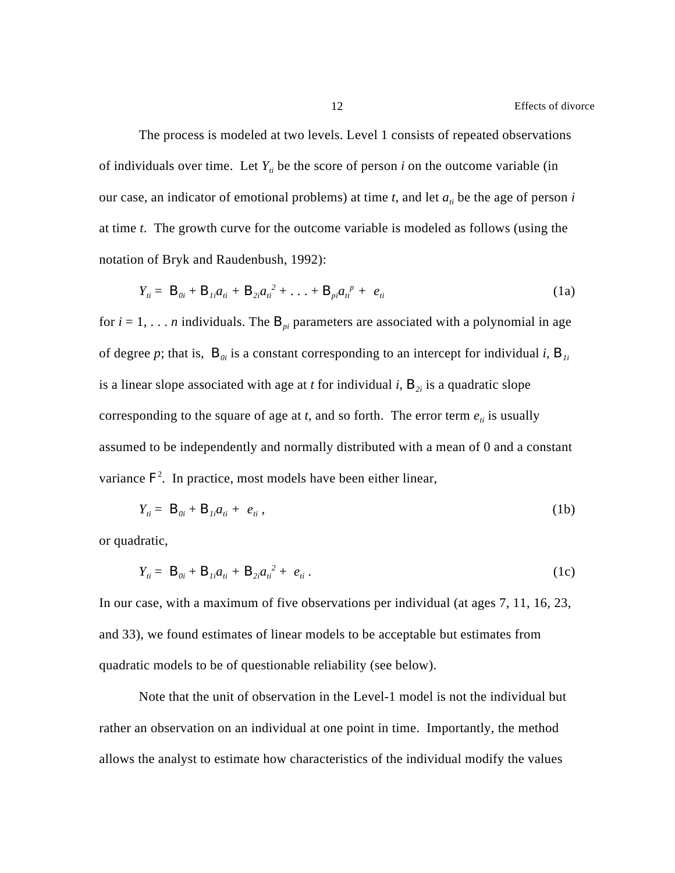The process is modeled at two levels. Level 1 consists of repeated observations of individuals over time. Let  $Y_i$  be the score of person *i* on the outcome variable (in our case, an indicator of emotional problems) at time  $t$ , and let  $a_{ti}$  be the age of person  $i$ at time *t*. The growth curve for the outcome variable is modeled as follows (using the notation of Bryk and Raudenbush, 1992):

$$
Y_{ii} = B_{0i} + B_{1i}a_{ti} + B_{2i}a_{ti}^{2} + \ldots + B_{pi}a_{ti}^{p} + e_{ti}
$$
 (1a)

for  $i = 1, \ldots n$  individuals. The  $B_{ni}$  parameters are associated with a polynomial in age of degree p; that is,  $B_{0i}$  is a constant corresponding to an intercept for individual *i*,  $B_{1i}$ is a linear slope associated with age at *t* for individual *i*,  $B_{2i}$  is a quadratic slope corresponding to the square of age at  $t$ , and so forth. The error term  $e_{ti}$  is usually assumed to be independently and normally distributed with a mean of 0 and a constant variance  $F^2$ . In practice, most models have been either linear,

$$
Y_{ii} = \boldsymbol{B}_{0i} + \boldsymbol{B}_{1i} a_{ii} + e_{ii}, \qquad (1b)
$$

or quadratic,

$$
Y_{ii} = B_{0i} + B_{1i}a_{ii} + B_{2i}a_{ii}^{2} + e_{ii}.
$$
 (1c)

In our case, with a maximum of five observations per individual (at ages 7, 11, 16, 23, and 33), we found estimates of linear models to be acceptable but estimates from quadratic models to be of questionable reliability (see below).

Note that the unit of observation in the Level-1 model is not the individual but rather an observation on an individual at one point in time. Importantly, the method allows the analyst to estimate how characteristics of the individual modify the values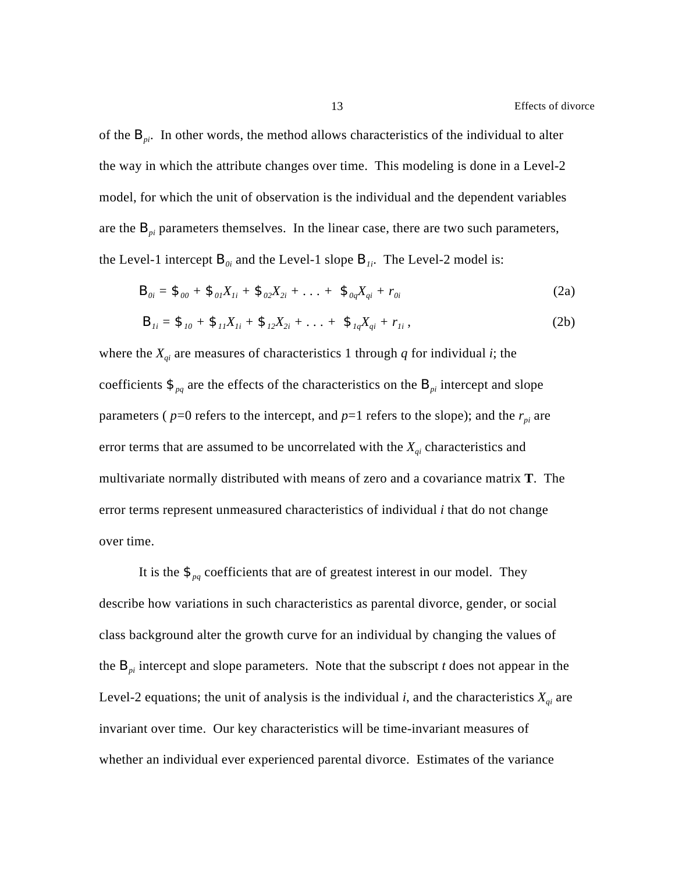of the  $B_{\eta i}$ . In other words, the method allows characteristics of the individual to alter the way in which the attribute changes over time. This modeling is done in a Level-2 model, for which the unit of observation is the individual and the dependent variables are the  $B_{pi}$  parameters themselves. In the linear case, there are two such parameters, the Level-1 intercept  $B_{0i}$  and the Level-1 slope  $B_{1i}$ . The Level-2 model is:

$$
\mathbf{B}_{0i} = \mathbf{\mathcal{F}}_{00} + \mathbf{\mathcal{F}}_{01} X_{1i} + \mathbf{\mathcal{F}}_{02} X_{2i} + \ldots + \mathbf{\mathcal{F}}_{0q} X_{qi} + r_{0i}
$$
 (2a)

$$
B_{1i} = \mathfrak{F}_{10} + \mathfrak{F}_{11} X_{1i} + \mathfrak{F}_{12} X_{2i} + \ldots + \mathfrak{F}_{1q} X_{qi} + r_{1i} , \qquad (2b)
$$

where the  $X_{qi}$  are measures of characteristics 1 through  $q$  for individual  $i$ ; the coefficients  $\mathfrak{S}_{pq}$  are the effects of the characteristics on the  $B_{pi}$  intercept and slope parameters ( $p=0$  refers to the intercept, and  $p=1$  refers to the slope); and the  $r_{pi}$  are error terms that are assumed to be uncorrelated with the *Xqi* characteristics and multivariate normally distributed with means of zero and a covariance matrix **T**. The error terms represent unmeasured characteristics of individual *i* that do not change over time.

It is the  $\mathfrak{S}_{pq}$  coefficients that are of greatest interest in our model. They describe how variations in such characteristics as parental divorce, gender, or social class background alter the growth curve for an individual by changing the values of the  $B_{pi}$  intercept and slope parameters. Note that the subscript *t* does not appear in the Level-2 equations; the unit of analysis is the individual *i*, and the characteristics  $X_{qi}$  are invariant over time. Our key characteristics will be time-invariant measures of whether an individual ever experienced parental divorce. Estimates of the variance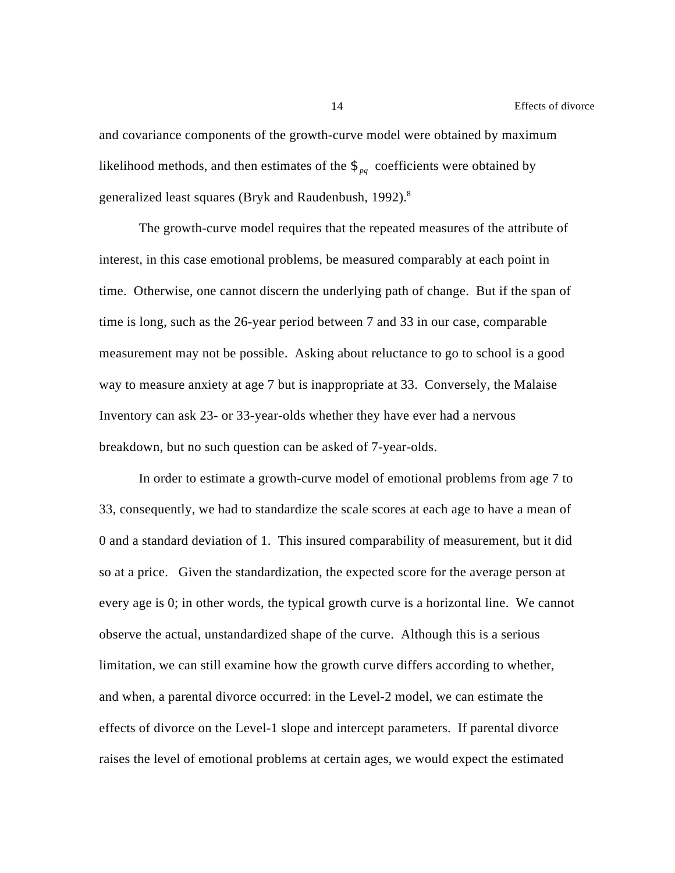and covariance components of the growth-curve model were obtained by maximum likelihood methods, and then estimates of the  $\mathcal{F}_{pq}$  coefficients were obtained by generalized least squares (Bryk and Raudenbush, 1992).<sup>8</sup>

The growth-curve model requires that the repeated measures of the attribute of interest, in this case emotional problems, be measured comparably at each point in time. Otherwise, one cannot discern the underlying path of change. But if the span of time is long, such as the 26-year period between 7 and 33 in our case, comparable measurement may not be possible. Asking about reluctance to go to school is a good way to measure anxiety at age 7 but is inappropriate at 33. Conversely, the Malaise Inventory can ask 23- or 33-year-olds whether they have ever had a nervous breakdown, but no such question can be asked of 7-year-olds.

In order to estimate a growth-curve model of emotional problems from age 7 to 33, consequently, we had to standardize the scale scores at each age to have a mean of 0 and a standard deviation of 1. This insured comparability of measurement, but it did so at a price. Given the standardization, the expected score for the average person at every age is 0; in other words, the typical growth curve is a horizontal line. We cannot observe the actual, unstandardized shape of the curve. Although this is a serious limitation, we can still examine how the growth curve differs according to whether, and when, a parental divorce occurred: in the Level-2 model, we can estimate the effects of divorce on the Level-1 slope and intercept parameters. If parental divorce raises the level of emotional problems at certain ages, we would expect the estimated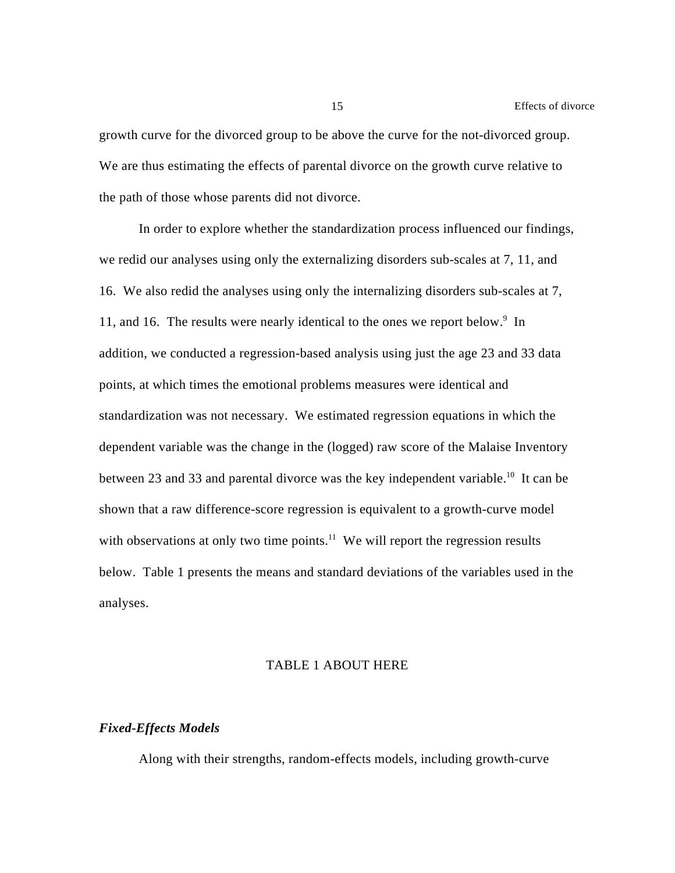growth curve for the divorced group to be above the curve for the not-divorced group. We are thus estimating the effects of parental divorce on the growth curve relative to the path of those whose parents did not divorce.

In order to explore whether the standardization process influenced our findings, we redid our analyses using only the externalizing disorders sub-scales at 7, 11, and 16. We also redid the analyses using only the internalizing disorders sub-scales at 7, 11, and 16. The results were nearly identical to the ones we report below.<sup>9</sup> In addition, we conducted a regression-based analysis using just the age 23 and 33 data points, at which times the emotional problems measures were identical and standardization was not necessary. We estimated regression equations in which the dependent variable was the change in the (logged) raw score of the Malaise Inventory between 23 and 33 and parental divorce was the key independent variable.<sup>10</sup> It can be shown that a raw difference-score regression is equivalent to a growth-curve model with observations at only two time points.<sup>11</sup> We will report the regression results below. Table 1 presents the means and standard deviations of the variables used in the analyses.

#### TABLE 1 ABOUT HERE

#### *Fixed-Effects Models*

Along with their strengths, random-effects models, including growth-curve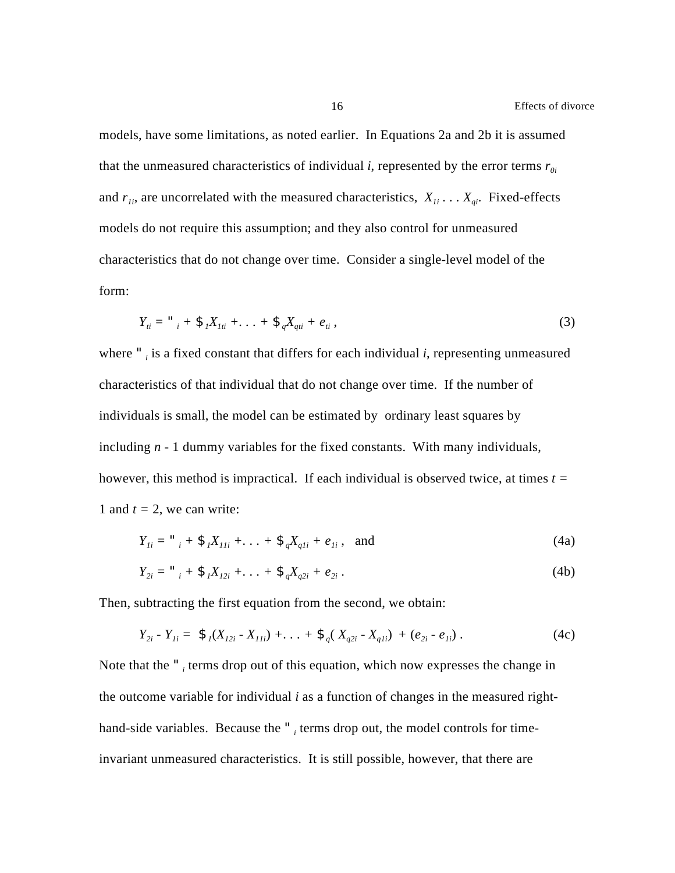models, have some limitations, as noted earlier. In Equations 2a and 2b it is assumed that the unmeasured characteristics of individual *i*, represented by the error terms  $r_{0i}$ and  $r_{1i}$ , are uncorrelated with the measured characteristics,  $X_{1i} \ldots X_{qi}$ . Fixed-effects models do not require this assumption; and they also control for unmeasured characteristics that do not change over time. Consider a single-level model of the form:

$$
Y_{ii} = "i + \mathcal{F}_1 X_{1ii} + \ldots + \mathcal{F}_q X_{qii} + e_{ii}, \qquad (3)
$$

where *"<sup>i</sup>* is a fixed constant that differs for each individual *i*, representing unmeasured characteristics of that individual that do not change over time. If the number of individuals is small, the model can be estimated by ordinary least squares by including *n* - 1 dummy variables for the fixed constants. With many individuals, however, this method is impractical. If each individual is observed twice, at times *t =* 1 and  $t = 2$ , we can write:

$$
Y_{1i} = "_{i} + \mathcal{F}_{1}X_{11i} + ... + \mathcal{F}_{q}X_{q1i} + e_{1i}, \text{ and} \qquad (4a)
$$

$$
Y_{2i} = "_{i} + \mathfrak{F}_{i}X_{12i} + \ldots + \mathfrak{F}_{q}X_{q2i} + e_{2i}.
$$
 (4b)

Then, subtracting the first equation from the second, we obtain:

$$
Y_{2i} - Y_{1i} = \mathcal{F}_1(X_{12i} - X_{11i}) + \ldots + \mathcal{F}_q(X_{q2i} - X_{q1i}) + (e_{2i} - e_{1i}). \qquad (4c)
$$

Note that the "<sub>*i*</sub> terms drop out of this equation, which now expresses the change in the outcome variable for individual *i* as a function of changes in the measured righthand-side variables. Because the ", terms drop out, the model controls for timeinvariant unmeasured characteristics. It is still possible, however, that there are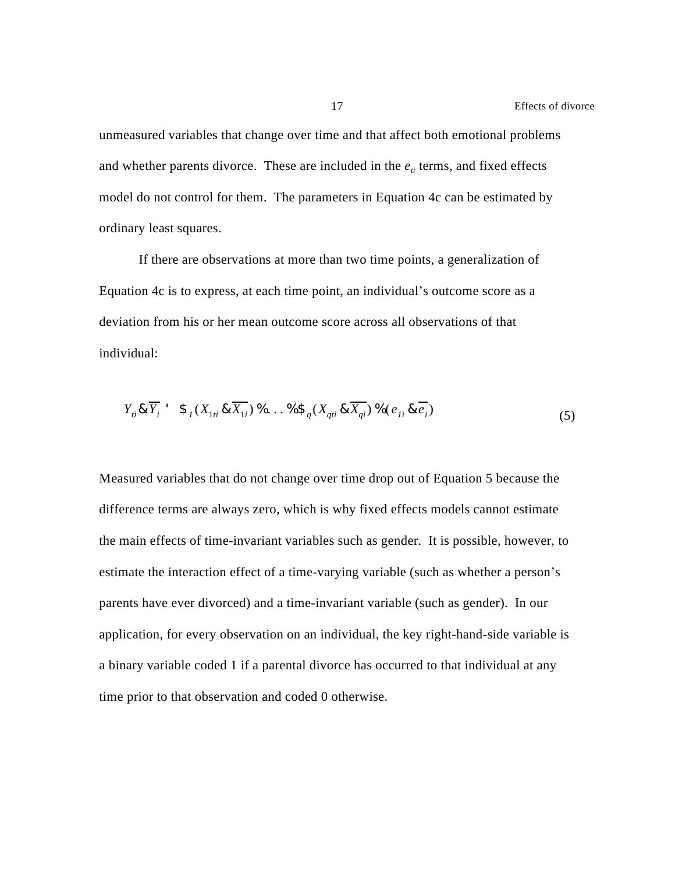unmeasured variables that change over time and that affect both emotional problems and whether parents divorce. These are included in the  $e_{ti}$  terms, and fixed effects model do not control for them. The parameters in Equation 4c can be estimated by ordinary least squares.

If there are observations at more than two time points, a generalization of Equation 4c is to express, at each time point, an individual's outcome score as a deviation from his or her mean outcome score across all observations of that individual:

$$
Y_{ii} \& \overline{Y_i} \quad \mathfrak{F}_1(X_{1ti} \& \overline{X_{1i}}) \quad \mathfrak{H} \dots \mathfrak{H} \mathfrak{F}_q(X_{qti} \& \overline{X_{qi}}) \quad \mathfrak{H}(e_{1i} \& \overline{e_i})
$$
\n
$$
\tag{5}
$$

Measured variables that do not change over time drop out of Equation 5 because the difference terms are always zero, which is why fixed effects models cannot estimate the main effects of time-invariant variables such as gender. It is possible, however, to estimate the interaction effect of a time-varying variable (such as whether a person's parents have ever divorced) and a time-invariant variable (such as gender). In our application, for every observation on an individual, the key right-hand-side variable is a binary variable coded 1 if a parental divorce has occurred to that individual at any time prior to that observation and coded 0 otherwise.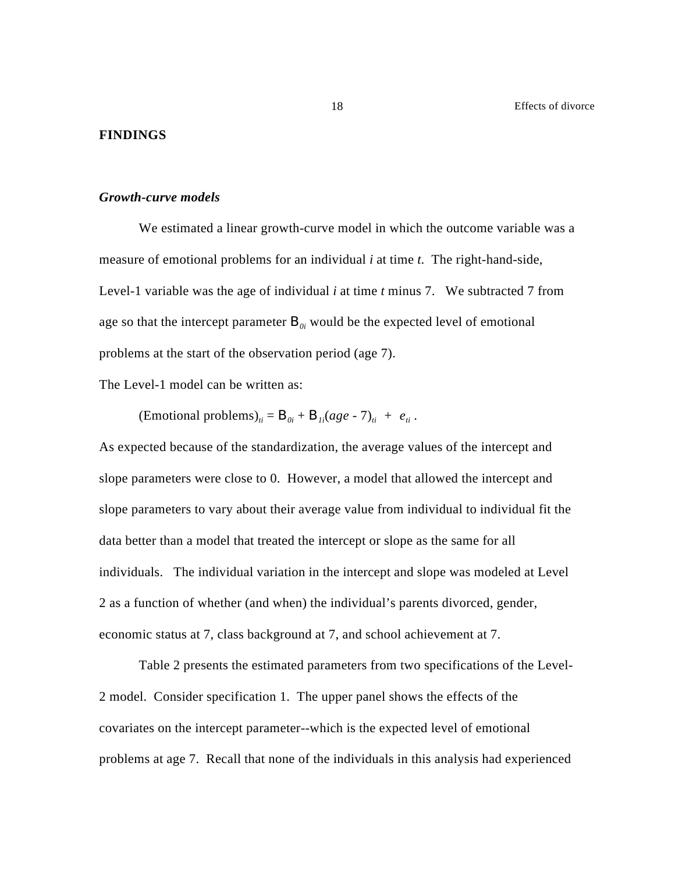#### **FINDINGS**

#### *Growth-curve models*

We estimated a linear growth-curve model in which the outcome variable was a measure of emotional problems for an individual *i* at time *t*. The right-hand-side, Level-1 variable was the age of individual *i* at time *t* minus 7. We subtracted 7 from age so that the intercept parameter  $B_{0i}$  would be the expected level of emotional problems at the start of the observation period (age 7).

The Level-1 model can be written as:

 $(\text{Emotional problems})_{ii} = \mathbf{B}_{0i} + \mathbf{B}_{1i}(age - 7)_{ii} + e_{ii}$ .

As expected because of the standardization, the average values of the intercept and slope parameters were close to 0. However, a model that allowed the intercept and slope parameters to vary about their average value from individual to individual fit the data better than a model that treated the intercept or slope as the same for all individuals. The individual variation in the intercept and slope was modeled at Level 2 as a function of whether (and when) the individual's parents divorced, gender, economic status at 7, class background at 7, and school achievement at 7.

Table 2 presents the estimated parameters from two specifications of the Level-2 model. Consider specification 1. The upper panel shows the effects of the covariates on the intercept parameter--which is the expected level of emotional problems at age 7. Recall that none of the individuals in this analysis had experienced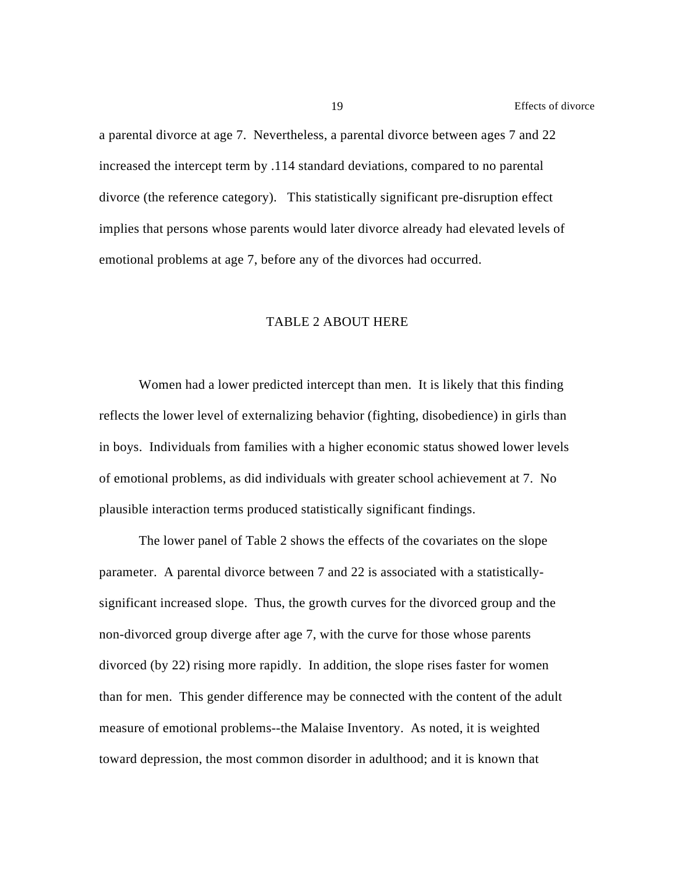a parental divorce at age 7. Nevertheless, a parental divorce between ages 7 and 22 increased the intercept term by .114 standard deviations, compared to no parental divorce (the reference category). This statistically significant pre-disruption effect implies that persons whose parents would later divorce already had elevated levels of emotional problems at age 7, before any of the divorces had occurred.

#### TABLE 2 ABOUT HERE

Women had a lower predicted intercept than men. It is likely that this finding reflects the lower level of externalizing behavior (fighting, disobedience) in girls than in boys. Individuals from families with a higher economic status showed lower levels of emotional problems, as did individuals with greater school achievement at 7. No plausible interaction terms produced statistically significant findings.

The lower panel of Table 2 shows the effects of the covariates on the slope parameter. A parental divorce between 7 and 22 is associated with a statisticallysignificant increased slope. Thus, the growth curves for the divorced group and the non-divorced group diverge after age 7, with the curve for those whose parents divorced (by 22) rising more rapidly. In addition, the slope rises faster for women than for men. This gender difference may be connected with the content of the adult measure of emotional problems--the Malaise Inventory. As noted, it is weighted toward depression, the most common disorder in adulthood; and it is known that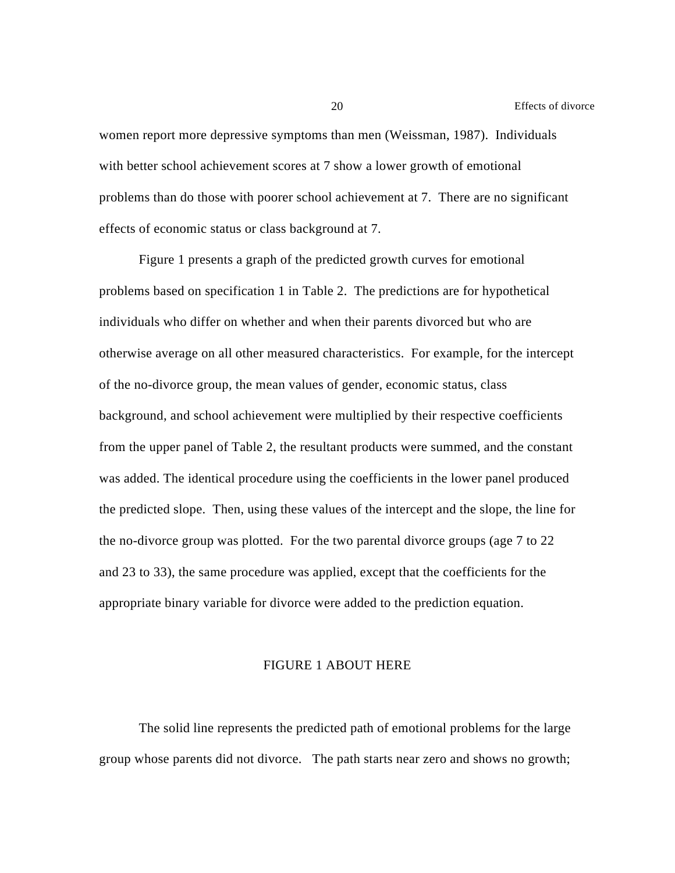women report more depressive symptoms than men (Weissman, 1987). Individuals with better school achievement scores at 7 show a lower growth of emotional problems than do those with poorer school achievement at 7. There are no significant effects of economic status or class background at 7.

Figure 1 presents a graph of the predicted growth curves for emotional problems based on specification 1 in Table 2. The predictions are for hypothetical individuals who differ on whether and when their parents divorced but who are otherwise average on all other measured characteristics. For example, for the intercept of the no-divorce group, the mean values of gender, economic status, class background, and school achievement were multiplied by their respective coefficients from the upper panel of Table 2, the resultant products were summed, and the constant was added. The identical procedure using the coefficients in the lower panel produced the predicted slope. Then, using these values of the intercept and the slope, the line for the no-divorce group was plotted. For the two parental divorce groups (age 7 to 22 and 23 to 33), the same procedure was applied, except that the coefficients for the appropriate binary variable for divorce were added to the prediction equation.

#### FIGURE 1 ABOUT HERE

The solid line represents the predicted path of emotional problems for the large group whose parents did not divorce. The path starts near zero and shows no growth;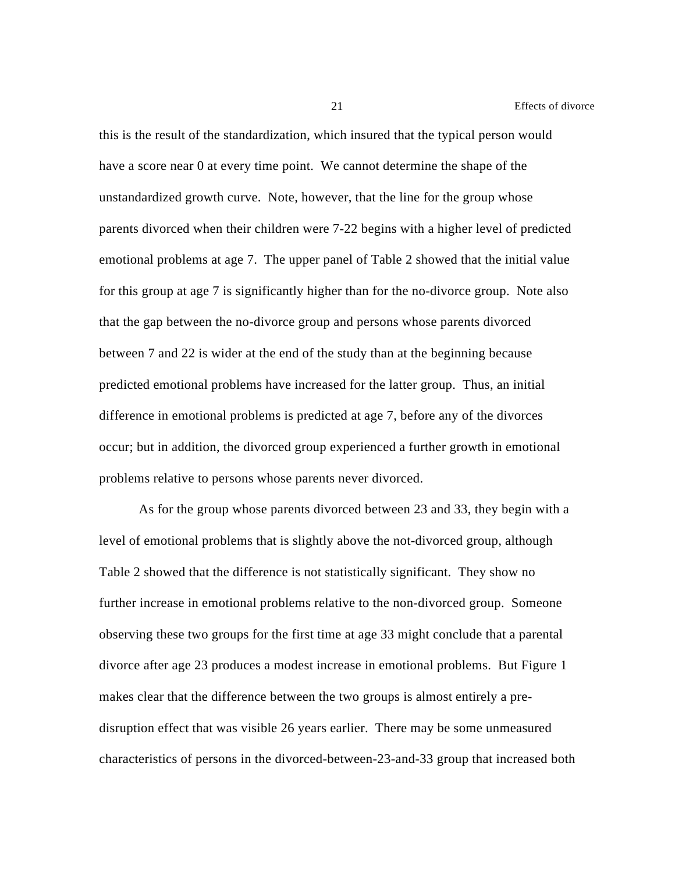21 Effects of divorce

this is the result of the standardization, which insured that the typical person would have a score near 0 at every time point. We cannot determine the shape of the unstandardized growth curve. Note, however, that the line for the group whose parents divorced when their children were 7-22 begins with a higher level of predicted emotional problems at age 7. The upper panel of Table 2 showed that the initial value for this group at age 7 is significantly higher than for the no-divorce group. Note also that the gap between the no-divorce group and persons whose parents divorced between 7 and 22 is wider at the end of the study than at the beginning because predicted emotional problems have increased for the latter group. Thus, an initial difference in emotional problems is predicted at age 7, before any of the divorces occur; but in addition, the divorced group experienced a further growth in emotional problems relative to persons whose parents never divorced.

As for the group whose parents divorced between 23 and 33, they begin with a level of emotional problems that is slightly above the not-divorced group, although Table 2 showed that the difference is not statistically significant. They show no further increase in emotional problems relative to the non-divorced group. Someone observing these two groups for the first time at age 33 might conclude that a parental divorce after age 23 produces a modest increase in emotional problems. But Figure 1 makes clear that the difference between the two groups is almost entirely a predisruption effect that was visible 26 years earlier. There may be some unmeasured characteristics of persons in the divorced-between-23-and-33 group that increased both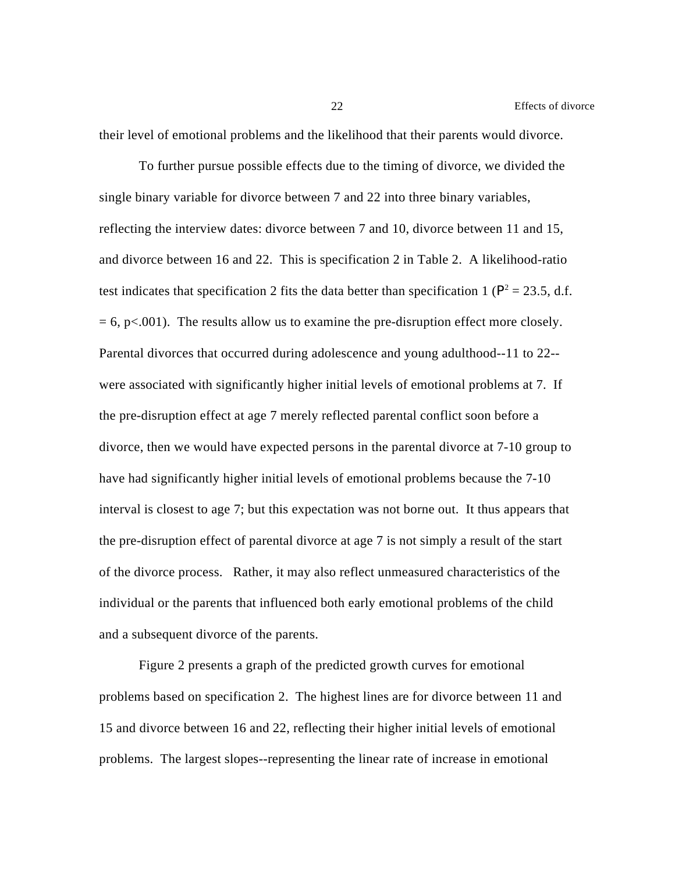their level of emotional problems and the likelihood that their parents would divorce.

To further pursue possible effects due to the timing of divorce, we divided the single binary variable for divorce between 7 and 22 into three binary variables, reflecting the interview dates: divorce between 7 and 10, divorce between 11 and 15, and divorce between 16 and 22. This is specification 2 in Table 2. A likelihood-ratio test indicates that specification 2 fits the data better than specification 1 ( $P^2 = 23.5$ , d.f.  $= 6$ , p $< .001$ ). The results allow us to examine the pre-disruption effect more closely. Parental divorces that occurred during adolescence and young adulthood--11 to 22- were associated with significantly higher initial levels of emotional problems at 7. If the pre-disruption effect at age 7 merely reflected parental conflict soon before a divorce, then we would have expected persons in the parental divorce at 7-10 group to have had significantly higher initial levels of emotional problems because the 7-10 interval is closest to age 7; but this expectation was not borne out. It thus appears that the pre-disruption effect of parental divorce at age 7 is not simply a result of the start of the divorce process. Rather, it may also reflect unmeasured characteristics of the individual or the parents that influenced both early emotional problems of the child and a subsequent divorce of the parents.

Figure 2 presents a graph of the predicted growth curves for emotional problems based on specification 2. The highest lines are for divorce between 11 and 15 and divorce between 16 and 22, reflecting their higher initial levels of emotional problems. The largest slopes--representing the linear rate of increase in emotional

22 Effects of divorce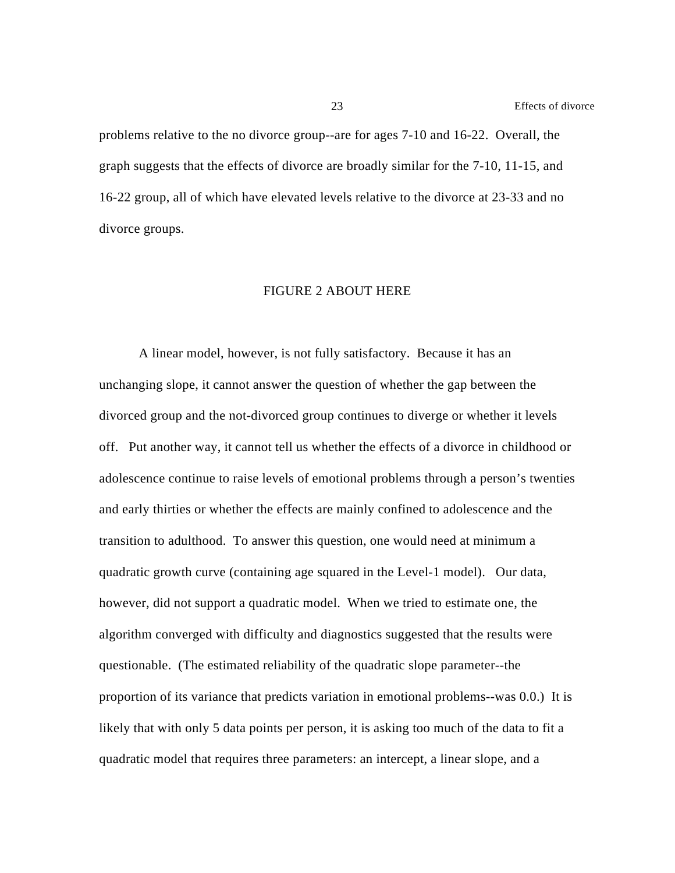problems relative to the no divorce group--are for ages 7-10 and 16-22. Overall, the graph suggests that the effects of divorce are broadly similar for the 7-10, 11-15, and 16-22 group, all of which have elevated levels relative to the divorce at 23-33 and no divorce groups.

#### FIGURE 2 ABOUT HERE

A linear model, however, is not fully satisfactory. Because it has an unchanging slope, it cannot answer the question of whether the gap between the divorced group and the not-divorced group continues to diverge or whether it levels off. Put another way, it cannot tell us whether the effects of a divorce in childhood or adolescence continue to raise levels of emotional problems through a person's twenties and early thirties or whether the effects are mainly confined to adolescence and the transition to adulthood. To answer this question, one would need at minimum a quadratic growth curve (containing age squared in the Level-1 model). Our data, however, did not support a quadratic model. When we tried to estimate one, the algorithm converged with difficulty and diagnostics suggested that the results were questionable. (The estimated reliability of the quadratic slope parameter--the proportion of its variance that predicts variation in emotional problems--was 0.0.) It is likely that with only 5 data points per person, it is asking too much of the data to fit a quadratic model that requires three parameters: an intercept, a linear slope, and a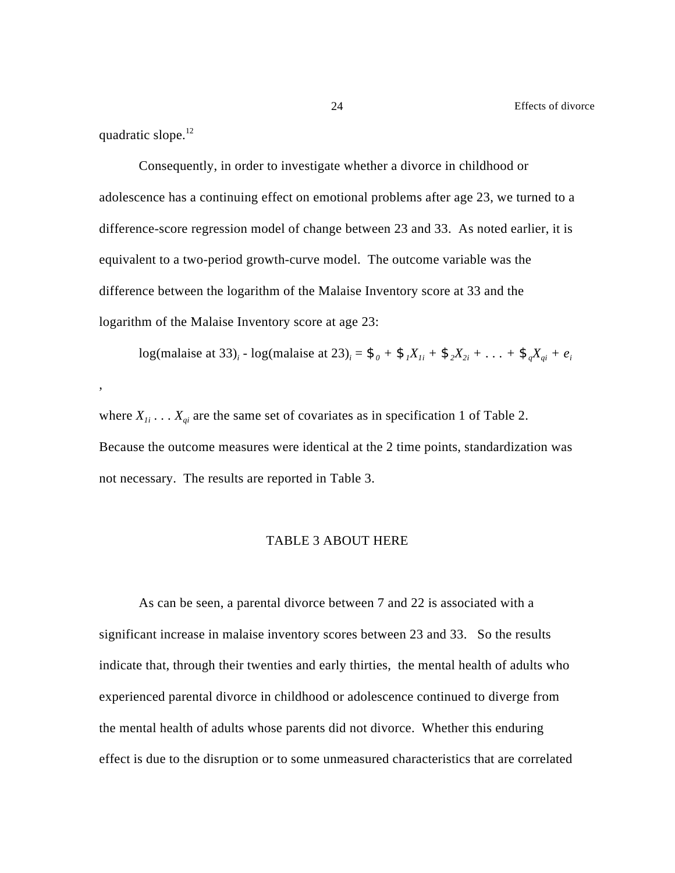quadratic slope.<sup>12</sup>

,

Consequently, in order to investigate whether a divorce in childhood or adolescence has a continuing effect on emotional problems after age 23, we turned to a difference-score regression model of change between 23 and 33. As noted earlier, it is equivalent to a two-period growth-curve model. The outcome variable was the difference between the logarithm of the Malaise Inventory score at 33 and the logarithm of the Malaise Inventory score at age 23:

log(malaise at 33)<sub>i</sub> - log(malaise at 23)<sub>i</sub> =  $\mathfrak{F}_0 + \mathfrak{F}_1 X_{1i} + \mathfrak{F}_2 X_{2i} + ... + \mathfrak{F}_q X_{qi} + e_i$ 

where  $X_{1i}$ ...  $X_{qi}$  are the same set of covariates as in specification 1 of Table 2. Because the outcome measures were identical at the 2 time points, standardization was not necessary. The results are reported in Table 3.

#### TABLE 3 ABOUT HERE

As can be seen, a parental divorce between 7 and 22 is associated with a significant increase in malaise inventory scores between 23 and 33. So the results indicate that, through their twenties and early thirties, the mental health of adults who experienced parental divorce in childhood or adolescence continued to diverge from the mental health of adults whose parents did not divorce. Whether this enduring effect is due to the disruption or to some unmeasured characteristics that are correlated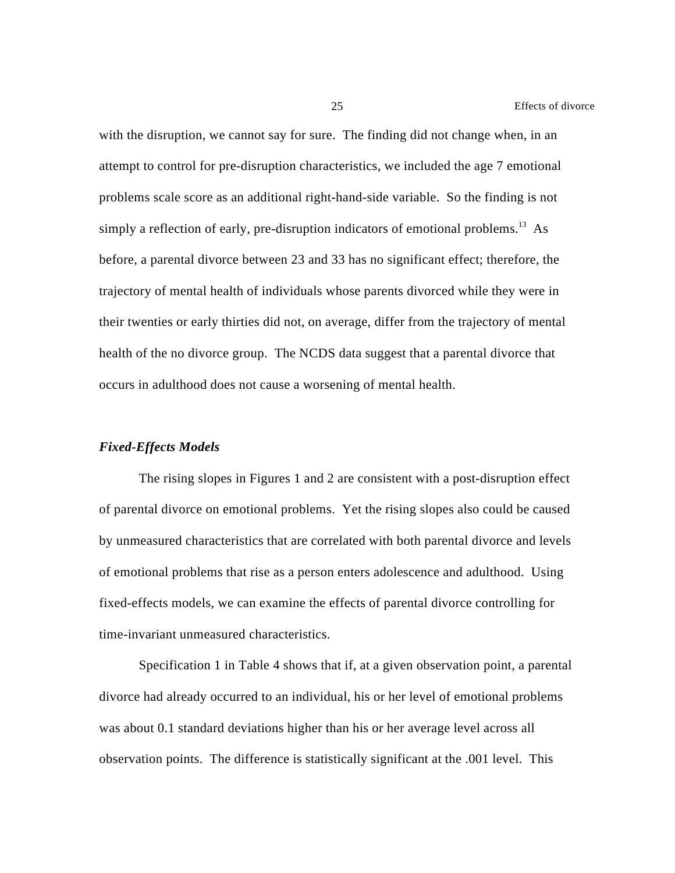with the disruption, we cannot say for sure. The finding did not change when, in an attempt to control for pre-disruption characteristics, we included the age 7 emotional problems scale score as an additional right-hand-side variable. So the finding is not simply a reflection of early, pre-disruption indicators of emotional problems.<sup>13</sup> As before, a parental divorce between 23 and 33 has no significant effect; therefore, the trajectory of mental health of individuals whose parents divorced while they were in their twenties or early thirties did not, on average, differ from the trajectory of mental health of the no divorce group. The NCDS data suggest that a parental divorce that occurs in adulthood does not cause a worsening of mental health.

#### *Fixed-Effects Models*

The rising slopes in Figures 1 and 2 are consistent with a post-disruption effect of parental divorce on emotional problems. Yet the rising slopes also could be caused by unmeasured characteristics that are correlated with both parental divorce and levels of emotional problems that rise as a person enters adolescence and adulthood. Using fixed-effects models, we can examine the effects of parental divorce controlling for time-invariant unmeasured characteristics.

Specification 1 in Table 4 shows that if, at a given observation point, a parental divorce had already occurred to an individual, his or her level of emotional problems was about 0.1 standard deviations higher than his or her average level across all observation points. The difference is statistically significant at the .001 level. This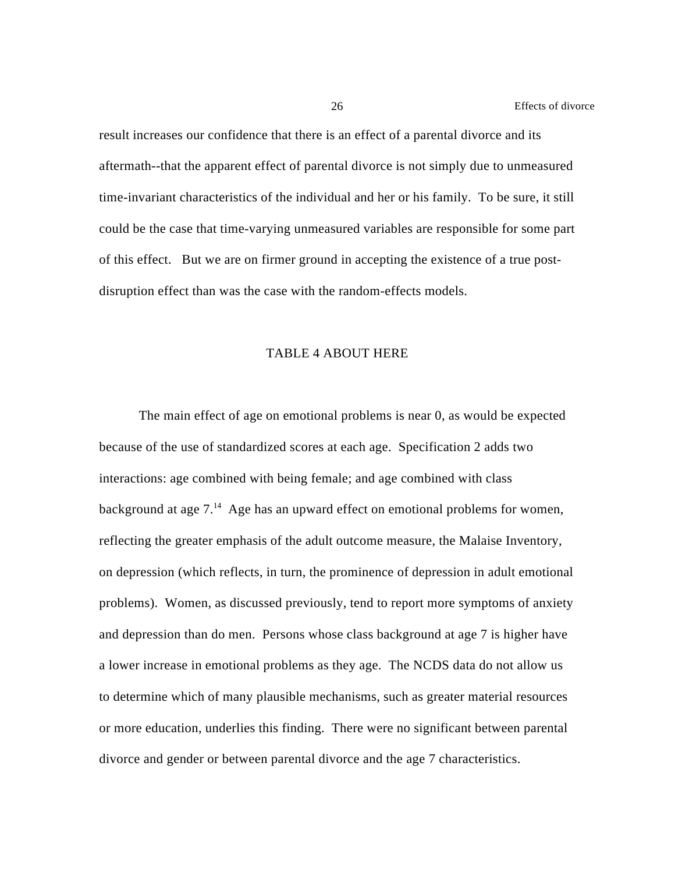result increases our confidence that there is an effect of a parental divorce and its aftermath--that the apparent effect of parental divorce is not simply due to unmeasured time-invariant characteristics of the individual and her or his family. To be sure, it still could be the case that time-varying unmeasured variables are responsible for some part of this effect. But we are on firmer ground in accepting the existence of a true postdisruption effect than was the case with the random-effects models.

#### TABLE 4 ABOUT HERE

The main effect of age on emotional problems is near 0, as would be expected because of the use of standardized scores at each age. Specification 2 adds two interactions: age combined with being female; and age combined with class background at age  $7<sup>14</sup>$  Age has an upward effect on emotional problems for women, reflecting the greater emphasis of the adult outcome measure, the Malaise Inventory, on depression (which reflects, in turn, the prominence of depression in adult emotional problems). Women, as discussed previously, tend to report more symptoms of anxiety and depression than do men. Persons whose class background at age 7 is higher have a lower increase in emotional problems as they age. The NCDS data do not allow us to determine which of many plausible mechanisms, such as greater material resources or more education, underlies this finding. There were no significant between parental divorce and gender or between parental divorce and the age 7 characteristics.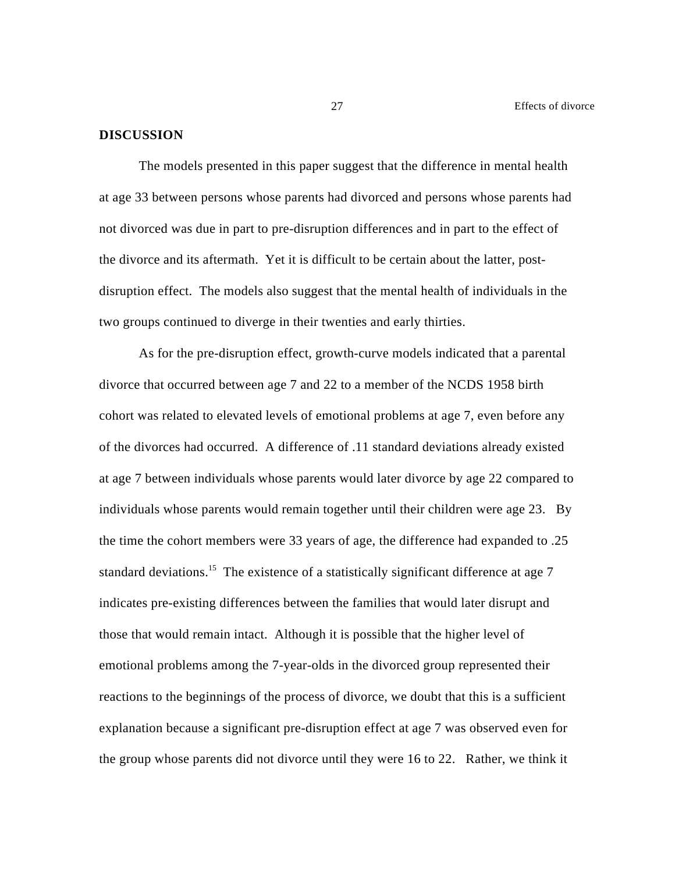#### **DISCUSSION**

The models presented in this paper suggest that the difference in mental health at age 33 between persons whose parents had divorced and persons whose parents had not divorced was due in part to pre-disruption differences and in part to the effect of the divorce and its aftermath. Yet it is difficult to be certain about the latter, postdisruption effect. The models also suggest that the mental health of individuals in the two groups continued to diverge in their twenties and early thirties.

As for the pre-disruption effect, growth-curve models indicated that a parental divorce that occurred between age 7 and 22 to a member of the NCDS 1958 birth cohort was related to elevated levels of emotional problems at age 7, even before any of the divorces had occurred. A difference of .11 standard deviations already existed at age 7 between individuals whose parents would later divorce by age 22 compared to individuals whose parents would remain together until their children were age 23. By the time the cohort members were 33 years of age, the difference had expanded to .25 standard deviations.<sup>15</sup> The existence of a statistically significant difference at age  $7\overline{5}$ indicates pre-existing differences between the families that would later disrupt and those that would remain intact. Although it is possible that the higher level of emotional problems among the 7-year-olds in the divorced group represented their reactions to the beginnings of the process of divorce, we doubt that this is a sufficient explanation because a significant pre-disruption effect at age 7 was observed even for the group whose parents did not divorce until they were 16 to 22. Rather, we think it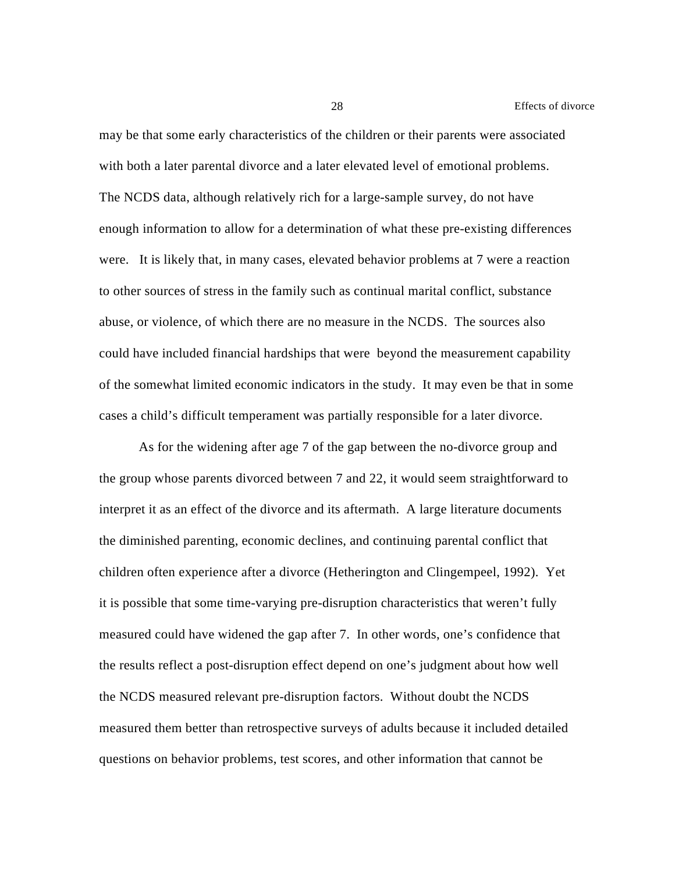may be that some early characteristics of the children or their parents were associated with both a later parental divorce and a later elevated level of emotional problems. The NCDS data, although relatively rich for a large-sample survey, do not have enough information to allow for a determination of what these pre-existing differences were. It is likely that, in many cases, elevated behavior problems at 7 were a reaction to other sources of stress in the family such as continual marital conflict, substance abuse, or violence, of which there are no measure in the NCDS. The sources also could have included financial hardships that were beyond the measurement capability of the somewhat limited economic indicators in the study. It may even be that in some cases a child's difficult temperament was partially responsible for a later divorce.

As for the widening after age 7 of the gap between the no-divorce group and the group whose parents divorced between 7 and 22, it would seem straightforward to interpret it as an effect of the divorce and its aftermath. A large literature documents the diminished parenting, economic declines, and continuing parental conflict that children often experience after a divorce (Hetherington and Clingempeel, 1992). Yet it is possible that some time-varying pre-disruption characteristics that weren't fully measured could have widened the gap after 7. In other words, one's confidence that the results reflect a post-disruption effect depend on one's judgment about how well the NCDS measured relevant pre-disruption factors. Without doubt the NCDS measured them better than retrospective surveys of adults because it included detailed questions on behavior problems, test scores, and other information that cannot be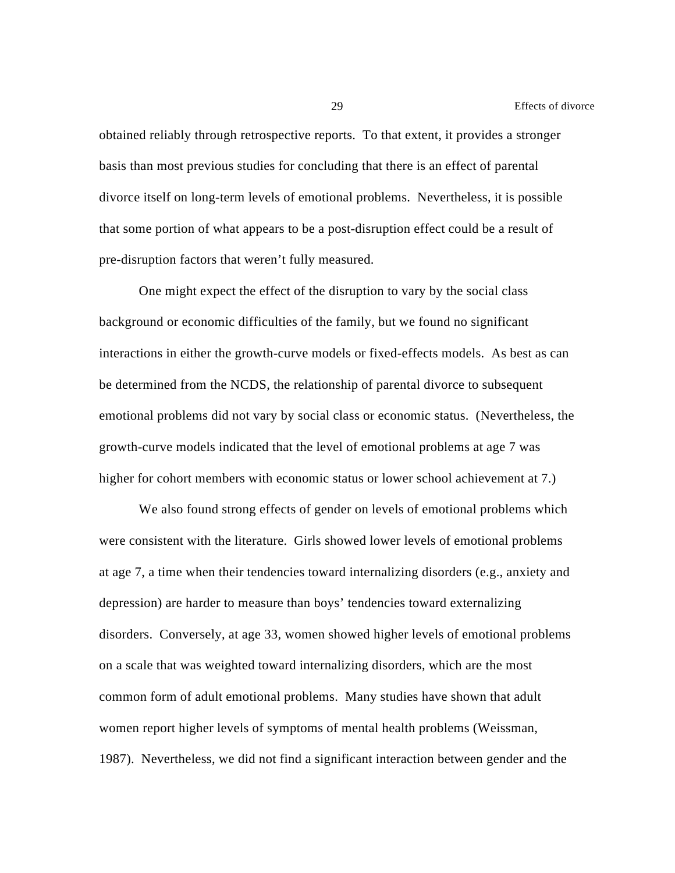obtained reliably through retrospective reports. To that extent, it provides a stronger basis than most previous studies for concluding that there is an effect of parental divorce itself on long-term levels of emotional problems. Nevertheless, it is possible that some portion of what appears to be a post-disruption effect could be a result of pre-disruption factors that weren't fully measured.

One might expect the effect of the disruption to vary by the social class background or economic difficulties of the family, but we found no significant interactions in either the growth-curve models or fixed-effects models. As best as can be determined from the NCDS, the relationship of parental divorce to subsequent emotional problems did not vary by social class or economic status. (Nevertheless, the growth-curve models indicated that the level of emotional problems at age 7 was higher for cohort members with economic status or lower school achievement at 7.)

We also found strong effects of gender on levels of emotional problems which were consistent with the literature. Girls showed lower levels of emotional problems at age 7, a time when their tendencies toward internalizing disorders (e.g., anxiety and depression) are harder to measure than boys' tendencies toward externalizing disorders. Conversely, at age 33, women showed higher levels of emotional problems on a scale that was weighted toward internalizing disorders, which are the most common form of adult emotional problems. Many studies have shown that adult women report higher levels of symptoms of mental health problems (Weissman, 1987). Nevertheless, we did not find a significant interaction between gender and the

29 Effects of divorce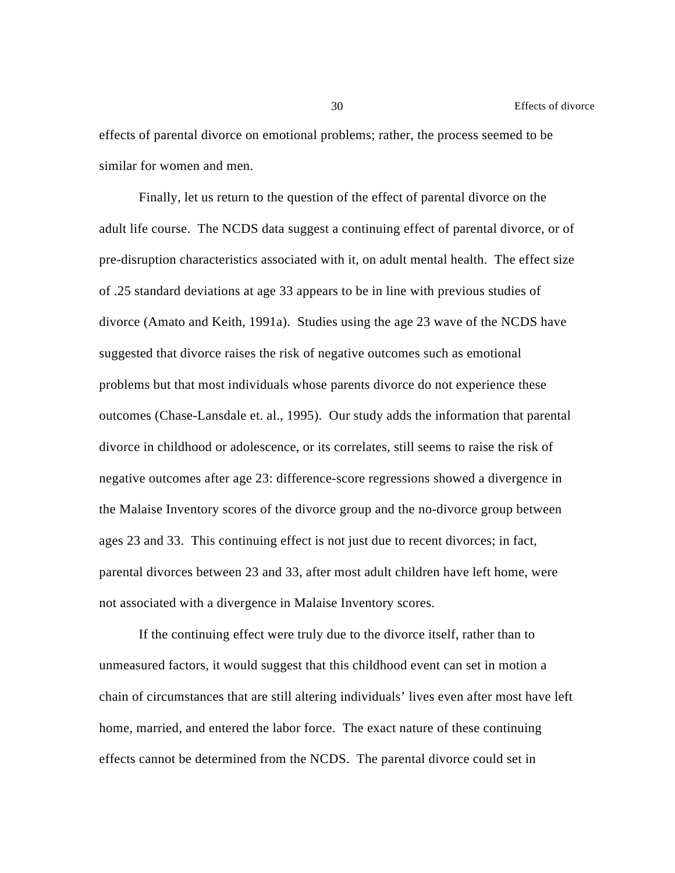effects of parental divorce on emotional problems; rather, the process seemed to be similar for women and men.

Finally, let us return to the question of the effect of parental divorce on the adult life course. The NCDS data suggest a continuing effect of parental divorce, or of pre-disruption characteristics associated with it, on adult mental health. The effect size of .25 standard deviations at age 33 appears to be in line with previous studies of divorce (Amato and Keith, 1991a). Studies using the age 23 wave of the NCDS have suggested that divorce raises the risk of negative outcomes such as emotional problems but that most individuals whose parents divorce do not experience these outcomes (Chase-Lansdale et. al., 1995). Our study adds the information that parental divorce in childhood or adolescence, or its correlates, still seems to raise the risk of negative outcomes after age 23: difference-score regressions showed a divergence in the Malaise Inventory scores of the divorce group and the no-divorce group between ages 23 and 33. This continuing effect is not just due to recent divorces; in fact, parental divorces between 23 and 33, after most adult children have left home, were not associated with a divergence in Malaise Inventory scores.

If the continuing effect were truly due to the divorce itself, rather than to unmeasured factors, it would suggest that this childhood event can set in motion a chain of circumstances that are still altering individuals' lives even after most have left home, married, and entered the labor force. The exact nature of these continuing effects cannot be determined from the NCDS. The parental divorce could set in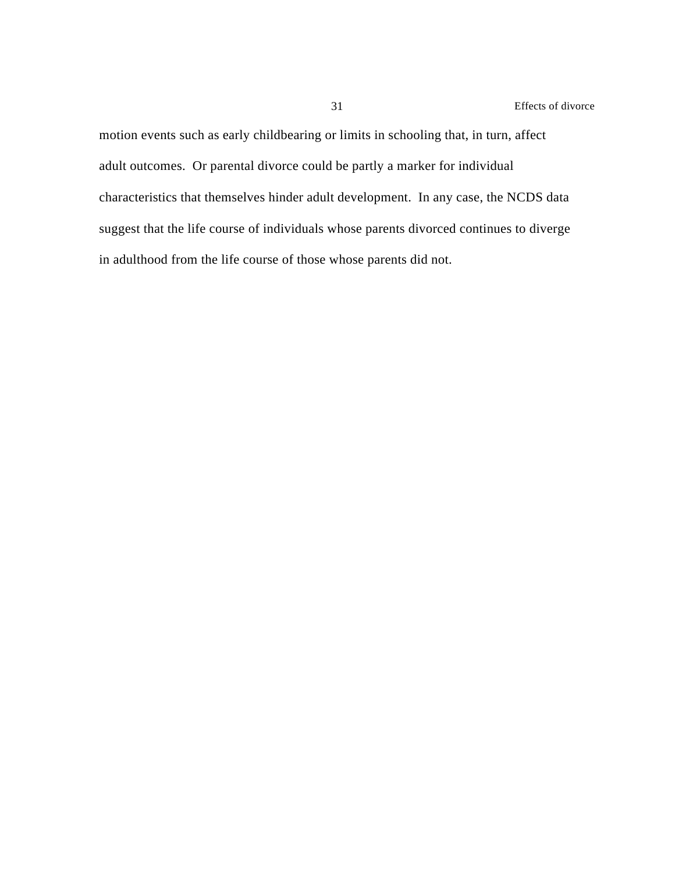motion events such as early childbearing or limits in schooling that, in turn, affect adult outcomes. Or parental divorce could be partly a marker for individual characteristics that themselves hinder adult development. In any case, the NCDS data suggest that the life course of individuals whose parents divorced continues to diverge in adulthood from the life course of those whose parents did not.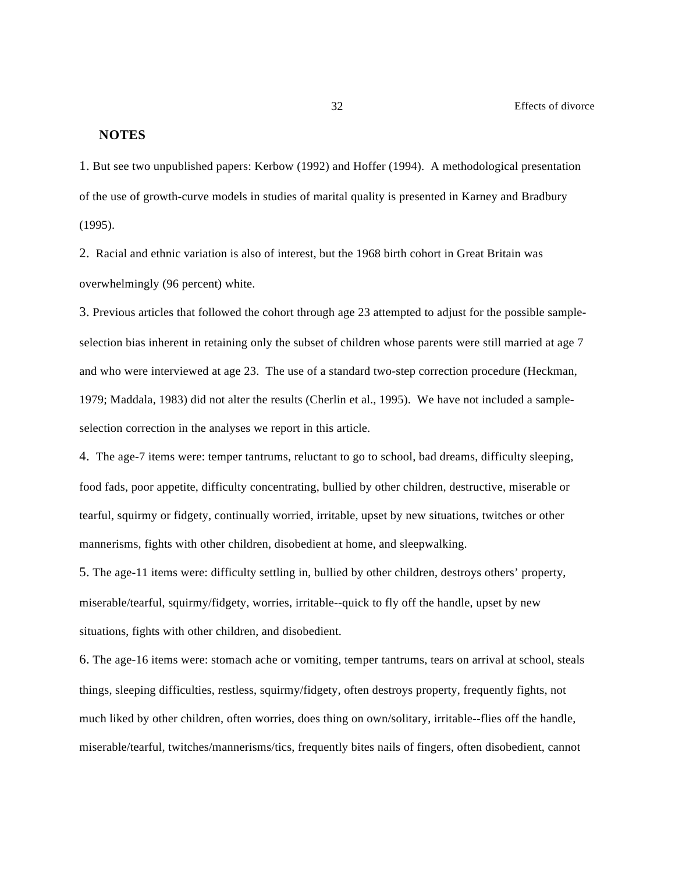#### **NOTES**

1. But see two unpublished papers: Kerbow (1992) and Hoffer (1994). A methodological presentation of the use of growth-curve models in studies of marital quality is presented in Karney and Bradbury (1995).

2. Racial and ethnic variation is also of interest, but the 1968 birth cohort in Great Britain was overwhelmingly (96 percent) white.

3. Previous articles that followed the cohort through age 23 attempted to adjust for the possible sampleselection bias inherent in retaining only the subset of children whose parents were still married at age 7 and who were interviewed at age 23. The use of a standard two-step correction procedure (Heckman, 1979; Maddala, 1983) did not alter the results (Cherlin et al., 1995). We have not included a sampleselection correction in the analyses we report in this article.

4. The age-7 items were: temper tantrums, reluctant to go to school, bad dreams, difficulty sleeping, food fads, poor appetite, difficulty concentrating, bullied by other children, destructive, miserable or tearful, squirmy or fidgety, continually worried, irritable, upset by new situations, twitches or other mannerisms, fights with other children, disobedient at home, and sleepwalking.

5. The age-11 items were: difficulty settling in, bullied by other children, destroys others' property, miserable/tearful, squirmy/fidgety, worries, irritable--quick to fly off the handle, upset by new situations, fights with other children, and disobedient.

6. The age-16 items were: stomach ache or vomiting, temper tantrums, tears on arrival at school, steals things, sleeping difficulties, restless, squirmy/fidgety, often destroys property, frequently fights, not much liked by other children, often worries, does thing on own/solitary, irritable--flies off the handle, miserable/tearful, twitches/mannerisms/tics, frequently bites nails of fingers, often disobedient, cannot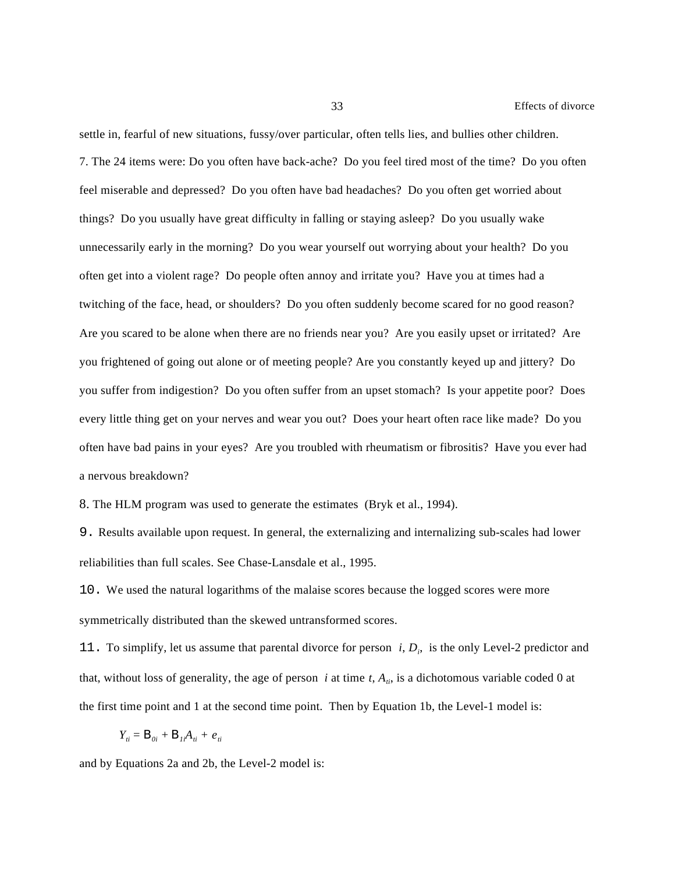settle in, fearful of new situations, fussy/over particular, often tells lies, and bullies other children. 7. The 24 items were: Do you often have back-ache? Do you feel tired most of the time? Do you often feel miserable and depressed? Do you often have bad headaches? Do you often get worried about things? Do you usually have great difficulty in falling or staying asleep? Do you usually wake unnecessarily early in the morning? Do you wear yourself out worrying about your health? Do you often get into a violent rage? Do people often annoy and irritate you? Have you at times had a twitching of the face, head, or shoulders? Do you often suddenly become scared for no good reason? Are you scared to be alone when there are no friends near you? Are you easily upset or irritated? Are you frightened of going out alone or of meeting people? Are you constantly keyed up and jittery? Do you suffer from indigestion? Do you often suffer from an upset stomach? Is your appetite poor? Does every little thing get on your nerves and wear you out? Does your heart often race like made? Do you often have bad pains in your eyes? Are you troubled with rheumatism or fibrositis? Have you ever had a nervous breakdown?

8. The HLM program was used to generate the estimates (Bryk et al., 1994).

9. Results available upon request. In general, the externalizing and internalizing sub-scales had lower reliabilities than full scales. See Chase-Lansdale et al., 1995.

10. We used the natural logarithms of the malaise scores because the logged scores were more symmetrically distributed than the skewed untransformed scores.

11. To simplify, let us assume that parental divorce for person *i*, *D<sup>i</sup>* , is the only Level-2 predictor and that, without loss of generality, the age of person *i* at time  $t$ ,  $A_{ti}$ , is a dichotomous variable coded 0 at the first time point and 1 at the second time point. Then by Equation 1b, the Level-1 model is:

$$
Y_{ii} = \mathbf{B}_{0i} + \mathbf{B}_{1i}A_{ii} + e_{ii}
$$

and by Equations 2a and 2b, the Level-2 model is: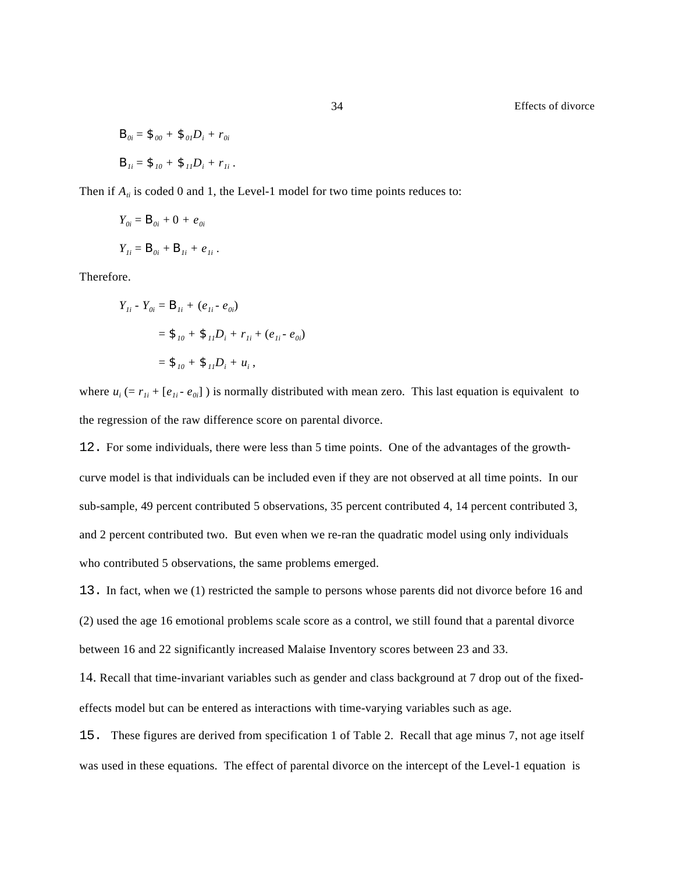$$
B_{0i} = \mathcal{F}_{00} + \mathcal{F}_{01}D_i + r_{0i}
$$

$$
B_{1i} = \mathcal{F}_{10} + \mathcal{F}_{11}D_i + r_{1i}.
$$

Then if  $A_{ii}$  is coded 0 and 1, the Level-1 model for two time points reduces to:

$$
Y_{oi} = \mathbf{B}_{oi} + 0 + e_{oi}
$$
  

$$
Y_{Ii} = \mathbf{B}_{oi} + \mathbf{B}_{Ii} + e_{Ii}.
$$

Therefore.

$$
Y_{1i} - Y_{0i} = B_{1i} + (e_{1i} - e_{0i})
$$
  
=  $\$_{10} + \$_{11}D_i + r_{1i} + (e_{1i} - e_{0i})$   
=  $\$_{10} + \$_{11}D_i + u_i$ ,

where  $u_i$  (=  $r_{Ii}$  + [ $e_{Ii}$  -  $e_{0i}$ ]) is normally distributed with mean zero. This last equation is equivalent to the regression of the raw difference score on parental divorce.

12. For some individuals, there were less than 5 time points. One of the advantages of the growthcurve model is that individuals can be included even if they are not observed at all time points. In our sub-sample, 49 percent contributed 5 observations, 35 percent contributed 4, 14 percent contributed 3, and 2 percent contributed two. But even when we re-ran the quadratic model using only individuals who contributed 5 observations, the same problems emerged.

13. In fact, when we (1) restricted the sample to persons whose parents did not divorce before 16 and (2) used the age 16 emotional problems scale score as a control, we still found that a parental divorce between 16 and 22 significantly increased Malaise Inventory scores between 23 and 33.

14. Recall that time-invariant variables such as gender and class background at 7 drop out of the fixedeffects model but can be entered as interactions with time-varying variables such as age.

15. These figures are derived from specification 1 of Table 2. Recall that age minus 7, not age itself was used in these equations. The effect of parental divorce on the intercept of the Level-1 equation is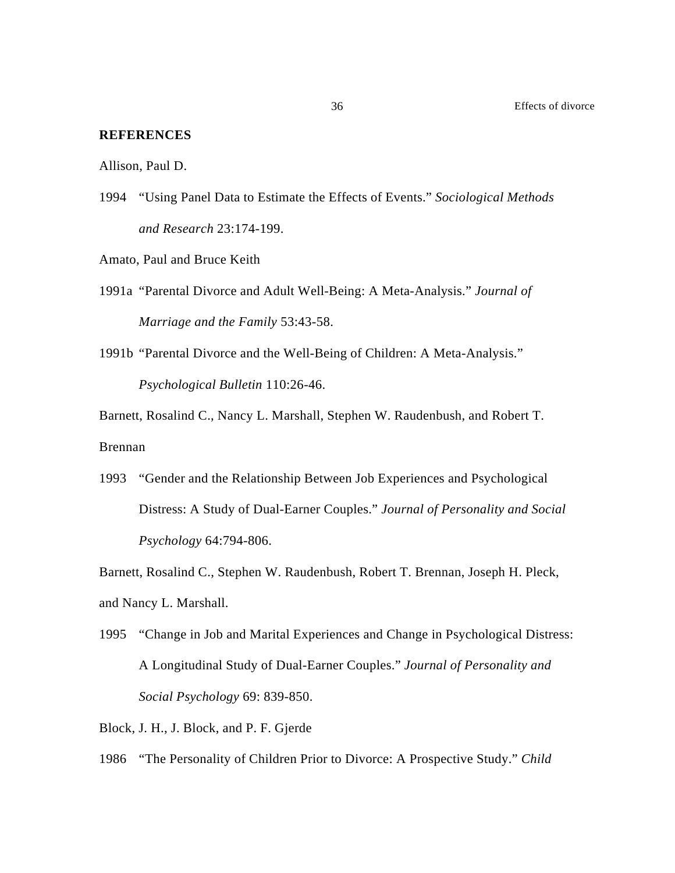#### **REFERENCES**

Allison, Paul D.

1994 "Using Panel Data to Estimate the Effects of Events." *Sociological Methods and Research* 23:174-199.

Amato, Paul and Bruce Keith

- 1991a "Parental Divorce and Adult Well-Being: A Meta-Analysis." *Journal of Marriage and the Family* 53:43-58.
- 1991b "Parental Divorce and the Well-Being of Children: A Meta-Analysis." *Psychological Bulletin* 110:26-46.

Barnett, Rosalind C., Nancy L. Marshall, Stephen W. Raudenbush, and Robert T. Brennan

1993 "Gender and the Relationship Between Job Experiences and Psychological Distress: A Study of Dual-Earner Couples." *Journal of Personality and Social Psychology* 64:794-806.

Barnett, Rosalind C., Stephen W. Raudenbush, Robert T. Brennan, Joseph H. Pleck, and Nancy L. Marshall.

1995 "Change in Job and Marital Experiences and Change in Psychological Distress: A Longitudinal Study of Dual-Earner Couples." *Journal of Personality and Social Psychology* 69: 839-850.

Block, J. H., J. Block, and P. F. Gjerde

1986 "The Personality of Children Prior to Divorce: A Prospective Study." *Child*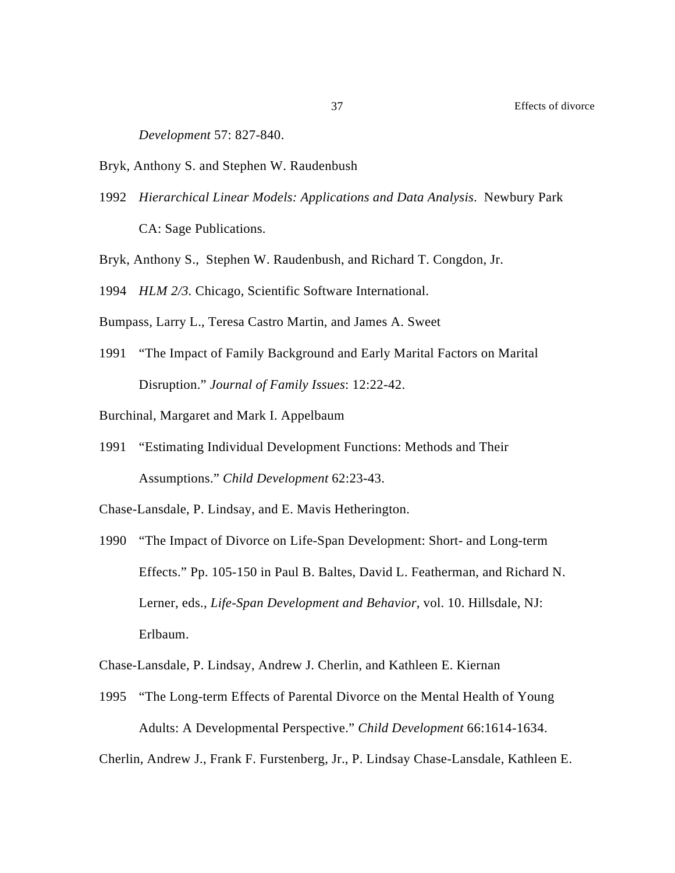*Development* 57: 827-840.

- Bryk, Anthony S. and Stephen W. Raudenbush
- 1992 *Hierarchical Linear Models: Applications and Data Analysis*. Newbury Park CA: Sage Publications.
- Bryk, Anthony S., Stephen W. Raudenbush, and Richard T. Congdon, Jr.
- 1994 *HLM 2/3.* Chicago, Scientific Software International.
- Bumpass, Larry L., Teresa Castro Martin, and James A. Sweet
- 1991 "The Impact of Family Background and Early Marital Factors on Marital Disruption." *Journal of Family Issues*: 12:22-42.
- Burchinal, Margaret and Mark I. Appelbaum
- 1991 "Estimating Individual Development Functions: Methods and Their Assumptions." *Child Development* 62:23-43.
- Chase-Lansdale, P. Lindsay, and E. Mavis Hetherington.
- 1990 "The Impact of Divorce on Life-Span Development: Short- and Long-term Effects." Pp. 105-150 in Paul B. Baltes, David L. Featherman, and Richard N. Lerner, eds., *Life-Span Development and Behavior*, vol. 10. Hillsdale, NJ: Erlbaum.

Chase-Lansdale, P. Lindsay, Andrew J. Cherlin, and Kathleen E. Kiernan

1995 "The Long-term Effects of Parental Divorce on the Mental Health of Young Adults: A Developmental Perspective." *Child Development* 66:1614-1634.

Cherlin, Andrew J., Frank F. Furstenberg, Jr., P. Lindsay Chase-Lansdale, Kathleen E.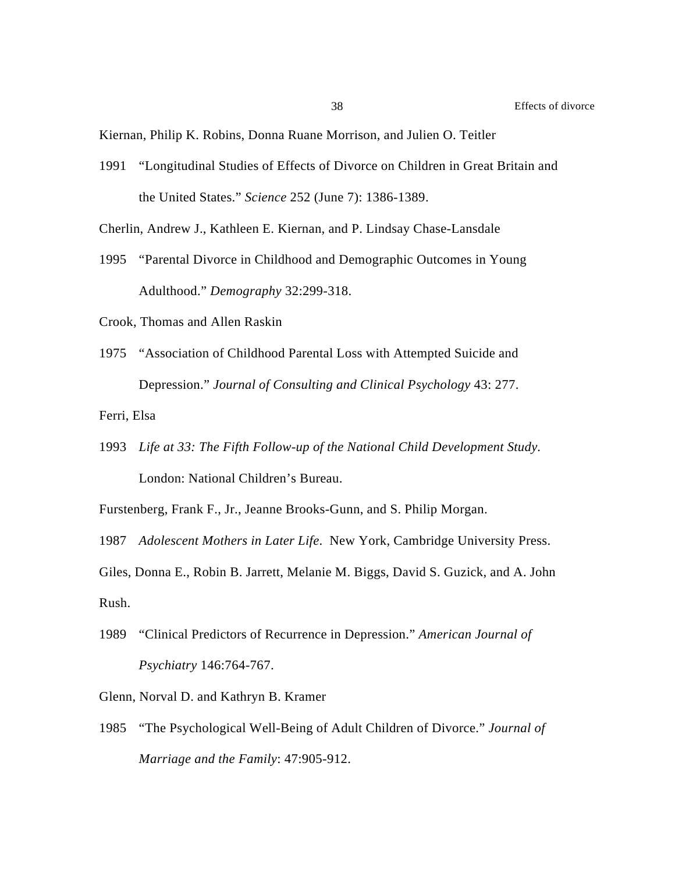Kiernan, Philip K. Robins, Donna Ruane Morrison, and Julien O. Teitler

1991 "Longitudinal Studies of Effects of Divorce on Children in Great Britain and the United States." *Science* 252 (June 7): 1386-1389.

Cherlin, Andrew J., Kathleen E. Kiernan, and P. Lindsay Chase-Lansdale

1995 "Parental Divorce in Childhood and Demographic Outcomes in Young Adulthood." *Demography* 32:299-318.

Crook, Thomas and Allen Raskin

1975 "Association of Childhood Parental Loss with Attempted Suicide and Depression." *Journal of Consulting and Clinical Psychology* 43: 277.

Ferri, Elsa

1993 *Life at 33: The Fifth Follow-up of the National Child Development Study.* London: National Children's Bureau.

Furstenberg, Frank F., Jr., Jeanne Brooks-Gunn, and S. Philip Morgan.

1987 *Adolescent Mothers in Later Life*. New York, Cambridge University Press.

Giles, Donna E., Robin B. Jarrett, Melanie M. Biggs, David S. Guzick, and A. John Rush.

- 1989 "Clinical Predictors of Recurrence in Depression." *American Journal of Psychiatry* 146:764-767.
- Glenn, Norval D. and Kathryn B. Kramer
- 1985 "The Psychological Well-Being of Adult Children of Divorce." *Journal of Marriage and the Family*: 47:905-912.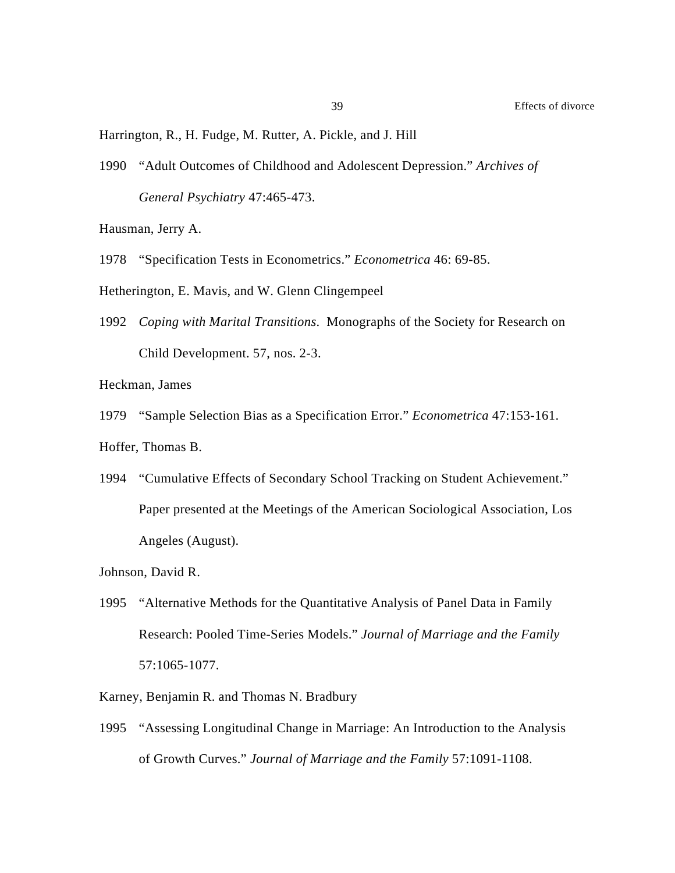Harrington, R., H. Fudge, M. Rutter, A. Pickle, and J. Hill

1990 "Adult Outcomes of Childhood and Adolescent Depression." *Archives of General Psychiatry* 47:465-473.

Hausman, Jerry A.

1978 "Specification Tests in Econometrics." *Econometrica* 46: 69-85.

Hetherington, E. Mavis, and W. Glenn Clingempeel

1992 *Coping with Marital Transitions*. Monographs of the Society for Research on Child Development. 57, nos. 2-3.

Heckman, James

1979 "Sample Selection Bias as a Specification Error." *Econometrica* 47:153-161. Hoffer, Thomas B.

1994 "Cumulative Effects of Secondary School Tracking on Student Achievement." Paper presented at the Meetings of the American Sociological Association, Los Angeles (August).

Johnson, David R.

- 1995 "Alternative Methods for the Quantitative Analysis of Panel Data in Family Research: Pooled Time-Series Models." *Journal of Marriage and the Family* 57:1065-1077.
- Karney, Benjamin R. and Thomas N. Bradbury
- 1995 "Assessing Longitudinal Change in Marriage: An Introduction to the Analysis of Growth Curves." *Journal of Marriage and the Family* 57:1091-1108.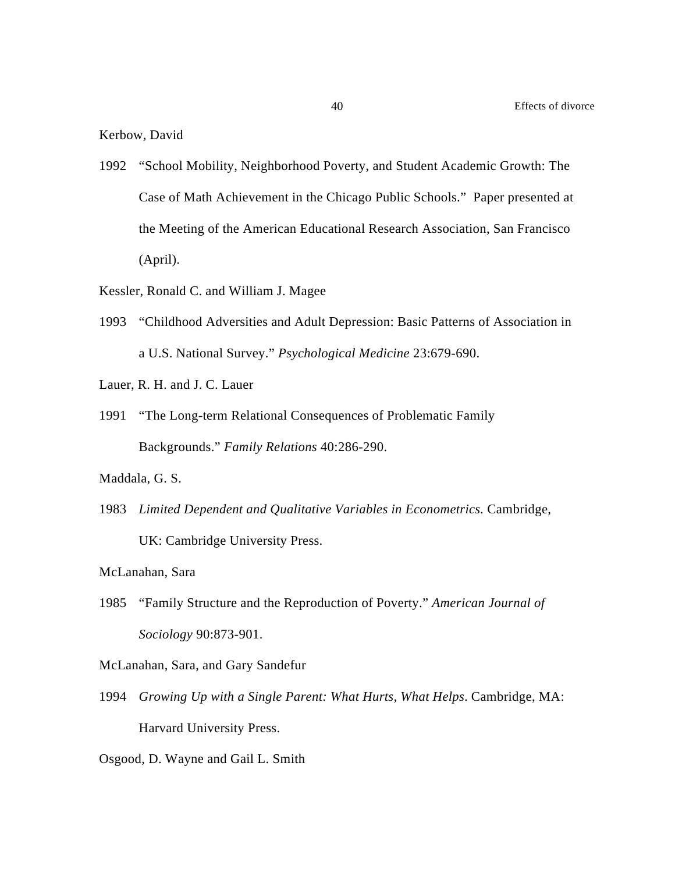Kerbow, David

- 1992 "School Mobility, Neighborhood Poverty, and Student Academic Growth: The Case of Math Achievement in the Chicago Public Schools." Paper presented at the Meeting of the American Educational Research Association, San Francisco (April).
- Kessler, Ronald C. and William J. Magee
- 1993 "Childhood Adversities and Adult Depression: Basic Patterns of Association in a U.S. National Survey." *Psychological Medicine* 23:679-690.
- Lauer, R. H. and J. C. Lauer
- 1991 "The Long-term Relational Consequences of Problematic Family Backgrounds." *Family Relations* 40:286-290.

Maddala, G. S.

1983 *Limited Dependent and Qualitative Variables in Econometrics.* Cambridge, UK: Cambridge University Press.

McLanahan, Sara

1985 "Family Structure and the Reproduction of Poverty." *American Journal of Sociology* 90:873-901.

McLanahan, Sara, and Gary Sandefur

1994 *Growing Up with a Single Parent: What Hurts, What Helps*. Cambridge, MA: Harvard University Press.

Osgood, D. Wayne and Gail L. Smith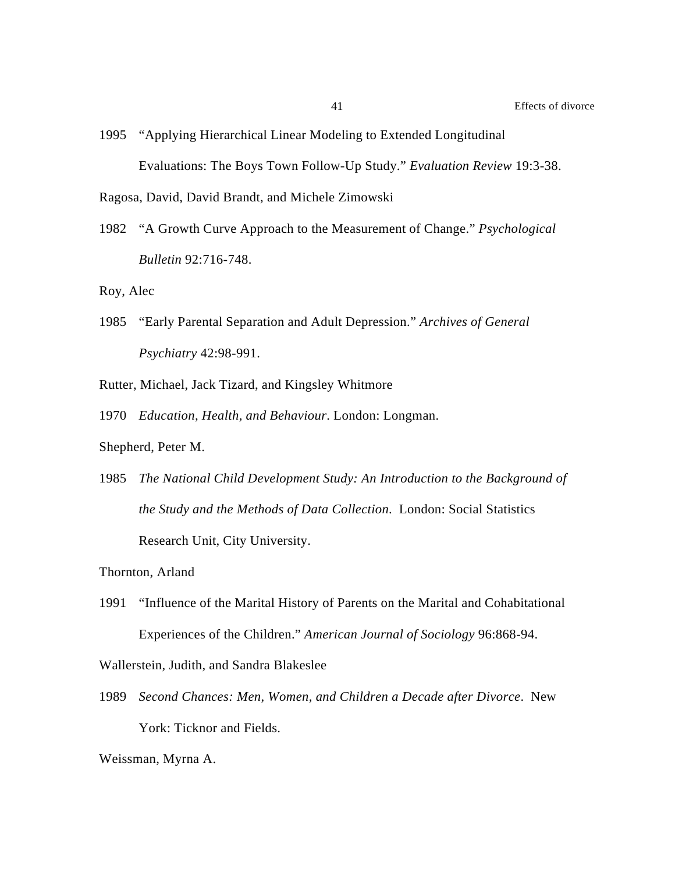1995 "Applying Hierarchical Linear Modeling to Extended Longitudinal Evaluations: The Boys Town Follow-Up Study." *Evaluation Review* 19:3-38.

Ragosa, David, David Brandt, and Michele Zimowski

1982 "A Growth Curve Approach to the Measurement of Change." *Psychological Bulletin* 92:716-748.

Roy, Alec

- 1985 "Early Parental Separation and Adult Depression." *Archives of General Psychiatry* 42:98-991.
- Rutter, Michael, Jack Tizard, and Kingsley Whitmore
- 1970 *Education, Health, and Behaviour*. London: Longman.

Shepherd, Peter M.

1985 *The National Child Development Study: An Introduction to the Background of the Study and the Methods of Data Collection*. London: Social Statistics Research Unit, City University.

Thornton, Arland

1991 "Influence of the Marital History of Parents on the Marital and Cohabitational Experiences of the Children." *American Journal of Sociology* 96:868-94.

Wallerstein, Judith, and Sandra Blakeslee

1989 *Second Chances: Men, Women, and Children a Decade after Divorce*. New York: Ticknor and Fields.

Weissman, Myrna A.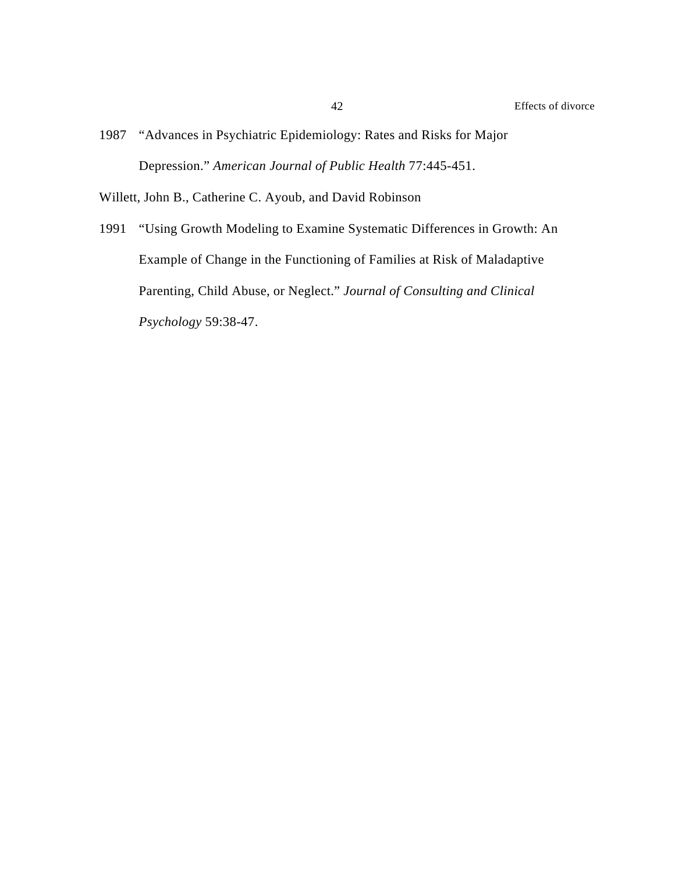1987 "Advances in Psychiatric Epidemiology: Rates and Risks for Major Depression." *American Journal of Public Health* 77:445-451.

Willett, John B., Catherine C. Ayoub, and David Robinson

1991 "Using Growth Modeling to Examine Systematic Differences in Growth: An Example of Change in the Functioning of Families at Risk of Maladaptive Parenting, Child Abuse, or Neglect." *Journal of Consulting and Clinical Psychology* 59:38-47.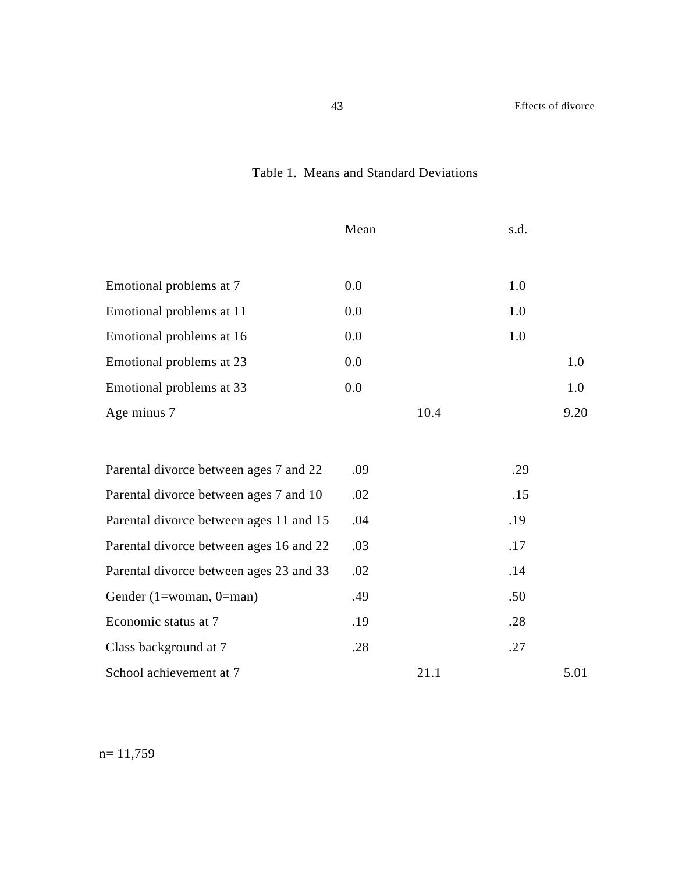## Table 1. Means and Standard Deviations

|                          | Mean | <u>s.d.</u> |      |
|--------------------------|------|-------------|------|
|                          |      |             |      |
| Emotional problems at 7  | 0.0  | 1.0         |      |
| Emotional problems at 11 | 0.0  | 1.0         |      |
| Emotional problems at 16 | 0.0  | 1.0         |      |
| Emotional problems at 23 | 0.0  |             | 1.0  |
| Emotional problems at 33 | 0.0  |             | 1.0  |
| Age minus 7              | 10.4 |             | 9.20 |

| Parental divorce between ages 7 and 22  | .09 |      | .29 |      |
|-----------------------------------------|-----|------|-----|------|
| Parental divorce between ages 7 and 10  | .02 |      | .15 |      |
| Parental divorce between ages 11 and 15 | .04 |      | .19 |      |
| Parental divorce between ages 16 and 22 | .03 |      | .17 |      |
| Parental divorce between ages 23 and 33 | .02 |      | .14 |      |
| Gender $(1 = woman, 0 = man)$           | .49 |      | .50 |      |
| Economic status at 7                    | .19 |      | .28 |      |
| Class background at 7                   | .28 |      | .27 |      |
| School achievement at 7                 |     | 21.1 |     | 5.01 |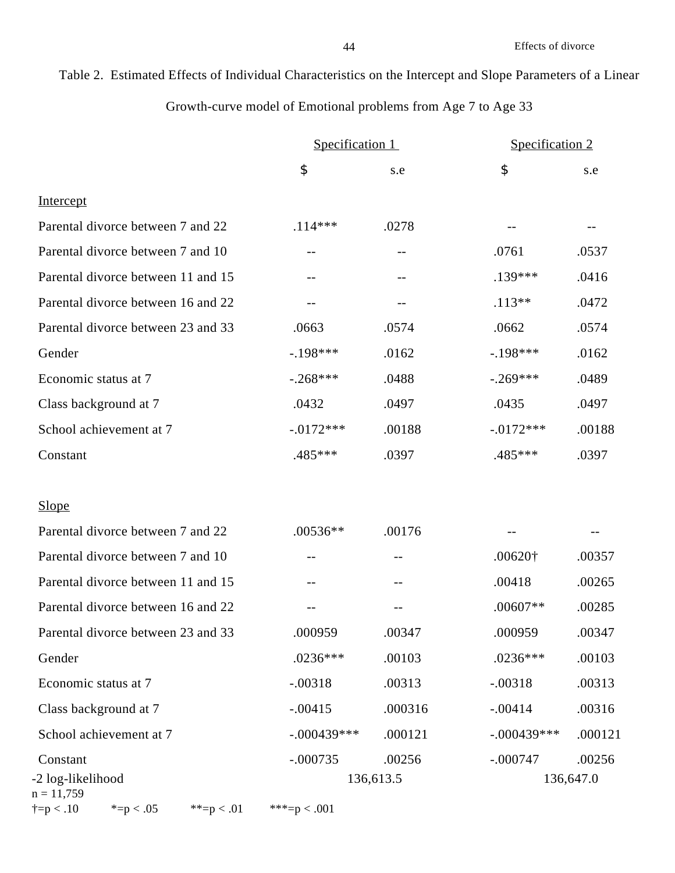# Table 2. Estimated Effects of Individual Characteristics on the Intercept and Slope Parameters of a Linear

## Growth-curve model of Emotional problems from Age 7 to Age 33

|                                                      | Specification 1 |           | Specification 2 |           |
|------------------------------------------------------|-----------------|-----------|-----------------|-----------|
|                                                      | \$              | s.e       | \$              | s.e       |
| Intercept                                            |                 |           |                 |           |
| Parental divorce between 7 and 22                    | $.114***$       | .0278     |                 |           |
| Parental divorce between 7 and 10                    | $-$             |           | .0761           | .0537     |
| Parental divorce between 11 and 15                   | --              |           | .139***         | .0416     |
| Parental divorce between 16 and 22                   |                 |           | $.113**$        | .0472     |
| Parental divorce between 23 and 33                   | .0663           | .0574     | .0662           | .0574     |
| Gender                                               | $-.198***$      | .0162     | $-198***$       | .0162     |
| Economic status at 7                                 | $-.268***$      | .0488     | $-.269***$      | .0489     |
| Class background at 7                                | .0432           | .0497     | .0435           | .0497     |
| School achievement at 7                              | $-0.0172***$    | .00188    | $-0.0172***$    | .00188    |
| Constant                                             | $.485***$       | .0397     | .485***         | .0397     |
| <b>Slope</b>                                         |                 |           |                 |           |
| Parental divorce between 7 and 22                    | $.00536**$      | .00176    |                 |           |
| Parental divorce between 7 and 10                    | $- -$           | $-$       | $.00620\dagger$ | .00357    |
| Parental divorce between 11 and 15                   | --              | $-$ -     | .00418          | .00265    |
| Parental divorce between 16 and 22                   |                 |           | $.00607**$      | .00285    |
| Parental divorce between 23 and 33                   | .000959         | .00347    | .000959         | .00347    |
| Gender                                               | $.0236***$      | .00103    | $.0236***$      | .00103    |
| Economic status at 7                                 | $-.00318$       | .00313    | $-.00318$       | .00313    |
| Class background at 7                                | $-.00415$       | .000316   | $-.00414$       | .00316    |
| School achievement at 7                              | $-.000439***$   | .000121   | $-.000439***$   | .000121   |
| Constant                                             | $-.000735$      | .00256    | $-.000747$      | .00256    |
| -2 log-likelihood<br>$n = 11,759$                    |                 | 136,613.5 |                 | 136,647.0 |
| $\dagger = p < .10$<br>* $=p < .05$<br>**= $p < .01$ | ***= $p < .001$ |           |                 |           |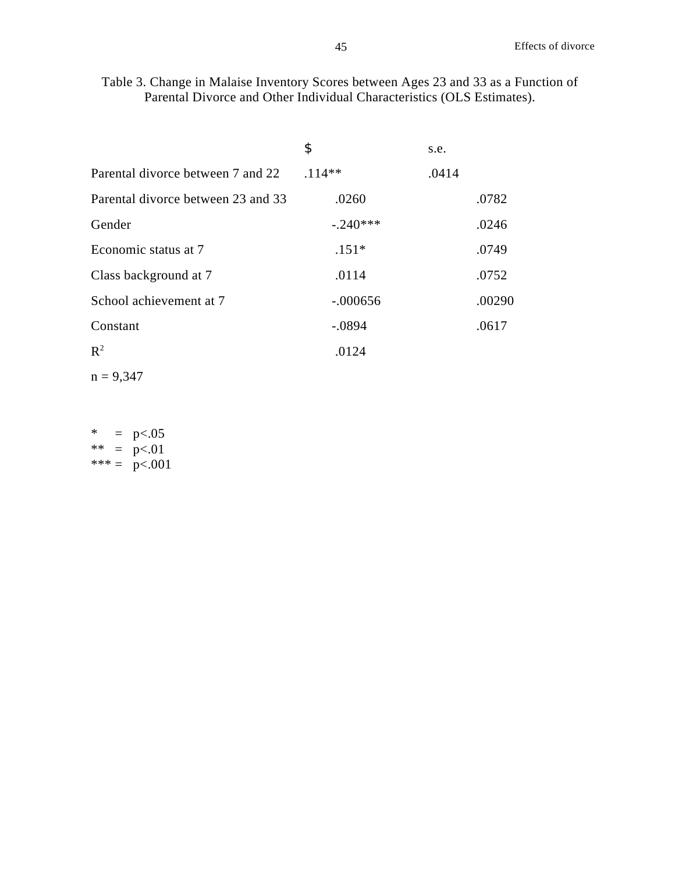Table 3. Change in Malaise Inventory Scores between Ages 23 and 33 as a Function of Parental Divorce and Other Individual Characteristics (OLS Estimates).

|                                    | \$         | s.e.  |        |
|------------------------------------|------------|-------|--------|
| Parental divorce between 7 and 22  | $.114**$   | .0414 |        |
| Parental divorce between 23 and 33 | .0260      |       | .0782  |
| Gender                             | $-.240***$ |       | .0246  |
| Economic status at 7               | $.151*$    |       | .0749  |
| Class background at 7              | .0114      |       | .0752  |
| School achievement at 7            | $-.000656$ |       | .00290 |
| Constant                           | $-.0894$   |       | .0617  |
| $R^2$                              | .0124      |       |        |

 $n = 9,347$ 

| *    |   | p<.05  |
|------|---|--------|
| $**$ | — | p<.01  |
| ***  |   | p<.001 |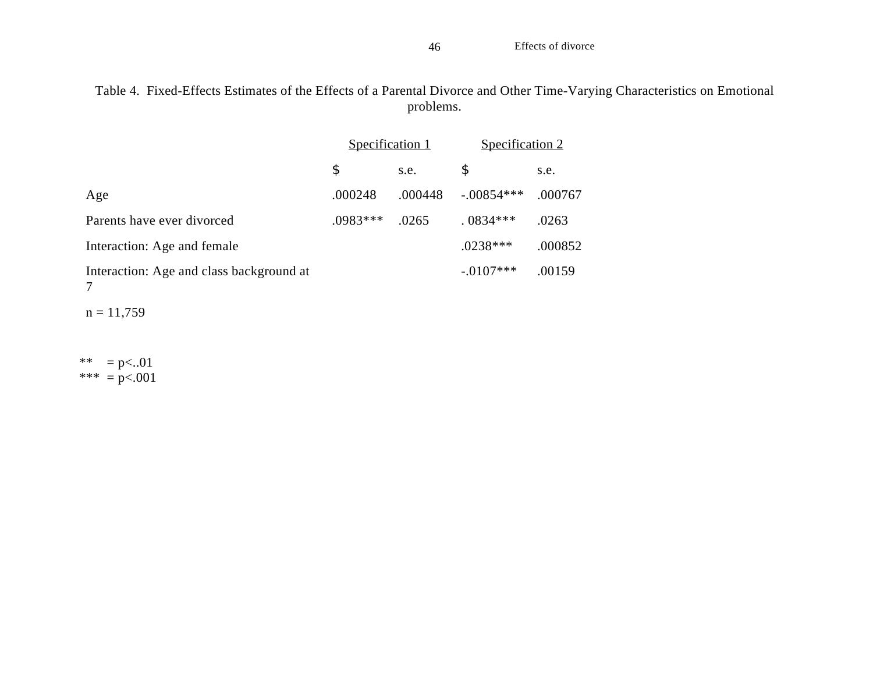Table 4. Fixed-Effects Estimates of the Effects of a Parental Divorce and Other Time-Varying Characteristics on Emotional problems.

|                                          | Specification 1 |         | Specification 2 |         |
|------------------------------------------|-----------------|---------|-----------------|---------|
|                                          | \$              | s.e.    | \$              | s.e.    |
| Age                                      | .000248         | .000448 | $-.00854***$    | .000767 |
| Parents have ever divorced               | $.0983***$      | .0265   | $0834***$       | .0263   |
| Interaction: Age and female              |                 |         | $.0238***$      | .000852 |
| Interaction: Age and class background at |                 |         | $-.0107***$     | .00159  |

 $n = 11,759$ 

\*\* =  $p<.01$ \*\*\* =  $p<.001$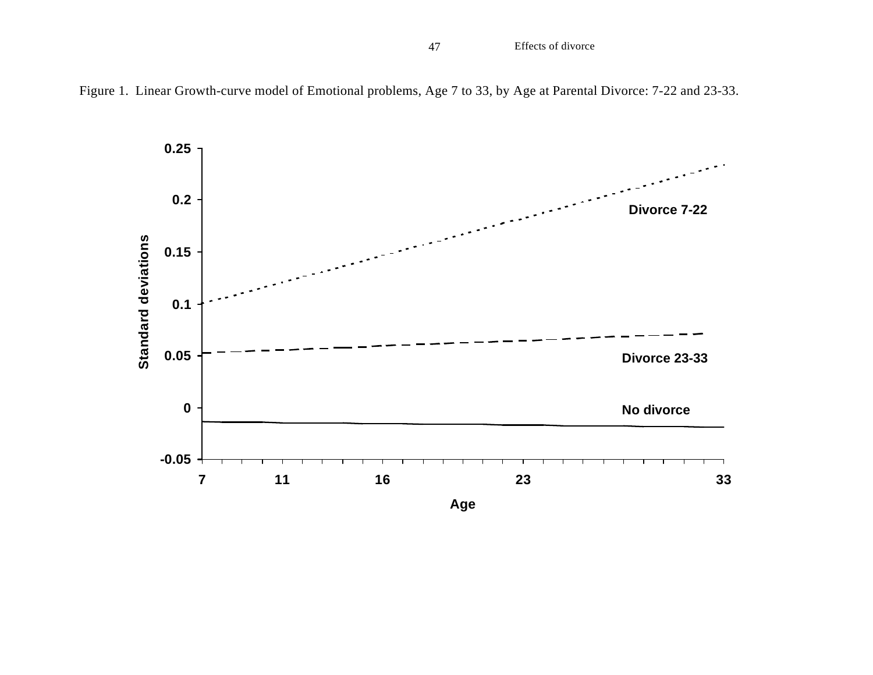47 Effects of divorce



Figure 1. Linear Growth-curve model of Emotional problems, Age 7 to 33, by Age at Parental Divorce: 7-22 and 23-33.